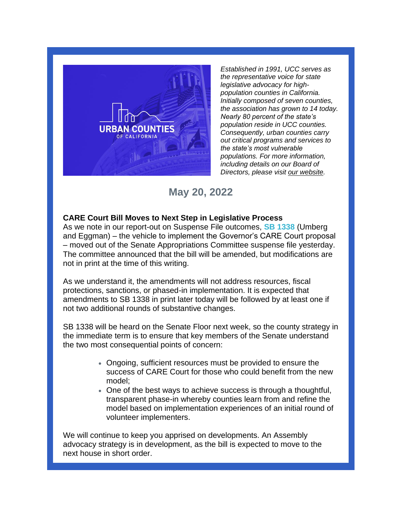

*Established in 1991, UCC serves as the representative voice for state legislative advocacy for highpopulation counties in California. Initially composed of seven counties, the association has grown to 14 today. Nearly 80 percent of the state's population reside in UCC counties. Consequently, urban counties carry out critical programs and services to the state's most vulnerable populations. For more information, including details on our Board of Directors, please visit [our website.](https://r20.rs6.net/tn.jsp?f=001e4rAQk4eQ4F9Af-Olhs8WxZbydV3DNI7-_kUdNZkBqXXJIrkpiREDqfKX1C9J7lYns0h5uIhTjnwrfG_7CVYPwCes-3rveErJlXah2CCPARyn92sx3XuTJjsZ2x31UZdigsg2EachUaGYOHsvZbNCA==&c=p7S0SYNVb-LtM5l0fl77PpcEAVz-T4cayI_qCaPf0c7XAAPgHcoiBQ==&ch=XYXVXzQhRucXA9OhFiXWn2jyWjNOLlu3-zLo7ktL87v4Om1BtfkgrQ==)*

# **May 20, 2022**

## **CARE Court Bill Moves to Next Step in Legislative Process**

As we note in our report-out on Suspense File outcomes, **[SB 1338](https://r20.rs6.net/tn.jsp?f=001e4rAQk4eQ4F9Af-Olhs8WxZbydV3DNI7-_kUdNZkBqXXJIrkpiREDmvSRsgLY0xrrjJ8Do6LmOsf1deaYRpAqiH5e3aLTB-Nix8d5N_7XLh_GJfRu45XW8frhCgSOrwRoWtuuvE2Dqsd4rhJkgO9n-QFBKShGPv-2kt65I6SvJYOyR3LmbGBg7NXl3xAXXzE8OLmrWUS0W6NBHT5cvmAHojjhg2A-7tOkyPrqPAk7bE=&c=p7S0SYNVb-LtM5l0fl77PpcEAVz-T4cayI_qCaPf0c7XAAPgHcoiBQ==&ch=XYXVXzQhRucXA9OhFiXWn2jyWjNOLlu3-zLo7ktL87v4Om1BtfkgrQ==)** (Umberg and Eggman) – the vehicle to implement the Governor's CARE Court proposal – moved out of the Senate Appropriations Committee suspense file yesterday. The committee announced that the bill will be amended, but modifications are not in print at the time of this writing.

As we understand it, the amendments will not address resources, fiscal protections, sanctions, or phased-in implementation. It is expected that amendments to SB 1338 in print later today will be followed by at least one if not two additional rounds of substantive changes.

SB 1338 will be heard on the Senate Floor next week, so the county strategy in the immediate term is to ensure that key members of the Senate understand the two most consequential points of concern:

- Ongoing, sufficient resources must be provided to ensure the success of CARE Court for those who could benefit from the new model;
- One of the best ways to achieve success is through a thoughtful, transparent phase-in whereby counties learn from and refine the model based on implementation experiences of an initial round of volunteer implementers.

We will continue to keep you apprised on developments. An Assembly advocacy strategy is in development, as the bill is expected to move to the next house in short order.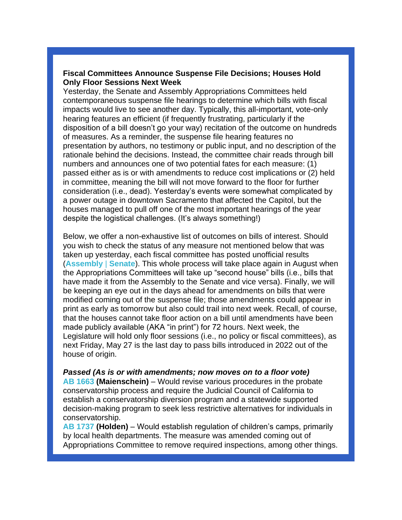#### **Fiscal Committees Announce Suspense File Decisions; Houses Hold Only Floor Sessions Next Week**

Yesterday, the Senate and Assembly Appropriations Committees held contemporaneous suspense file hearings to determine which bills with fiscal impacts would live to see another day. Typically, this all-important, vote-only hearing features an efficient (if frequently frustrating, particularly if the disposition of a bill doesn't go your way) recitation of the outcome on hundreds of measures. As a reminder, the suspense file hearing features no presentation by authors, no testimony or public input, and no description of the rationale behind the decisions. Instead, the committee chair reads through bill numbers and announces one of two potential fates for each measure: (1) passed either as is or with amendments to reduce cost implications or (2) held in committee, meaning the bill will not move forward to the floor for further consideration (i.e., dead). Yesterday's events were somewhat complicated by a power outage in downtown Sacramento that affected the Capitol, but the houses managed to pull off one of the most important hearings of the year despite the logistical challenges. (It's always something!)

Below, we offer a non-exhaustive list of outcomes on bills of interest. Should you wish to check the status of any measure not mentioned below that was taken up yesterday, each fiscal committee has posted unofficial results (**[Assembly](https://r20.rs6.net/tn.jsp?f=001e4rAQk4eQ4F9Af-Olhs8WxZbydV3DNI7-_kUdNZkBqXXJIrkpiREDu8Ht2EL3Tih1lVTYSs7x-qC3OiepqmJPvbCq9HCx0-CvI9YgsB5tFQzYbONeaZMvBQy_wKDXz14GbXixjQa1wufFp836TZ_z9ZxxLFd-AEOhCuC6m2dL3lSs4tFyMm6VLkiWhpHLNm4kY30k9xDg5b9viVTd0fhdG01DyO6la90orrqfXJ-huQEjV4-Vq9K3pTkKmyoumwK8H0Sel4imeFdC_6-uYprg71OMXZttwmQ47ghqXlW-2GGKNYvVyJjcw==&c=p7S0SYNVb-LtM5l0fl77PpcEAVz-T4cayI_qCaPf0c7XAAPgHcoiBQ==&ch=XYXVXzQhRucXA9OhFiXWn2jyWjNOLlu3-zLo7ktL87v4Om1BtfkgrQ==)** | **[Senate](https://r20.rs6.net/tn.jsp?f=001e4rAQk4eQ4F9Af-Olhs8WxZbydV3DNI7-_kUdNZkBqXXJIrkpiREDu8Ht2EL3TihRdChuqBRgdv2vXSZeVzN1lyaGEmp1p5xeTEvMU-bLCBAikOjXObU5gF_lkbJp69oBscnebBl0ZyBYFg_JET_xts7QDJ28RCO79CwYK701jOa-W81XXMMJ3vs-aCT9JPqiFA7e-cKTYAP1vr8kLxEjNySFCUPJnc1vQoRfV4jdMSEo9c8iG_po0NY2bSSS-dOKa10thGzmyk=&c=p7S0SYNVb-LtM5l0fl77PpcEAVz-T4cayI_qCaPf0c7XAAPgHcoiBQ==&ch=XYXVXzQhRucXA9OhFiXWn2jyWjNOLlu3-zLo7ktL87v4Om1BtfkgrQ==)**). This whole process will take place again in August when the Appropriations Committees will take up "second house" bills (i.e., bills that have made it from the Assembly to the Senate and vice versa). Finally, we will be keeping an eye out in the days ahead for amendments on bills that were modified coming out of the suspense file; those amendments could appear in print as early as tomorrow but also could trail into next week. Recall, of course, that the houses cannot take floor action on a bill until amendments have been made publicly available (AKA "in print") for 72 hours. Next week, the Legislature will hold only floor sessions (i.e., no policy or fiscal committees), as next Friday, May 27 is the last day to pass bills introduced in 2022 out of the house of origin.

*Passed (As is or with amendments; now moves on to a floor vote)* **[AB 1663](https://r20.rs6.net/tn.jsp?f=001e4rAQk4eQ4F9Af-Olhs8WxZbydV3DNI7-_kUdNZkBqXXJIrkpiREDu8Ht2EL3TihThKwS9ACgOGW80UfeS3aeG2cd2oVTraiIA698C4UkDBdAmnvlMxrBOIi_TWZfA87eeoK2iGpumLgaXgVoQVfWM0V2OmO34o7RRW5UorJqslkmuTJSNS09pftjVzm5CgqKbXzKOjyMTVA6BofSbUBdlzVTRQYO6rHplDq1ZT8YKY=&c=p7S0SYNVb-LtM5l0fl77PpcEAVz-T4cayI_qCaPf0c7XAAPgHcoiBQ==&ch=XYXVXzQhRucXA9OhFiXWn2jyWjNOLlu3-zLo7ktL87v4Om1BtfkgrQ==) (Maienschein)** – Would revise various procedures in the probate conservatorship process and require the Judicial Council of California to establish a conservatorship diversion program and a statewide supported decision-making program to seek less restrictive alternatives for individuals in conservatorship.

**[AB 1737](https://r20.rs6.net/tn.jsp?f=001e4rAQk4eQ4F9Af-Olhs8WxZbydV3DNI7-_kUdNZkBqXXJIrkpiREDu8Ht2EL3Tihfui8VBT0EBHx5i5nrq2mBMsATGIN9Ek2YO45HrgsColc2FdmRPejI6n5TFTkC8cD5HAqdnShHhPCHy4J5c-M3kxWT5smQ3mzCmWwpzX2C2Sf8sYdJLxDxHKkCg-P4YR8j_LzHwcOKSYukWw17XjaN6559FMF7p2teVSJXFhttqE=&c=p7S0SYNVb-LtM5l0fl77PpcEAVz-T4cayI_qCaPf0c7XAAPgHcoiBQ==&ch=XYXVXzQhRucXA9OhFiXWn2jyWjNOLlu3-zLo7ktL87v4Om1BtfkgrQ==) (Holden)** – Would establish regulation of children's camps, primarily by local health departments. The measure was amended coming out of Appropriations Committee to remove required inspections, among other things.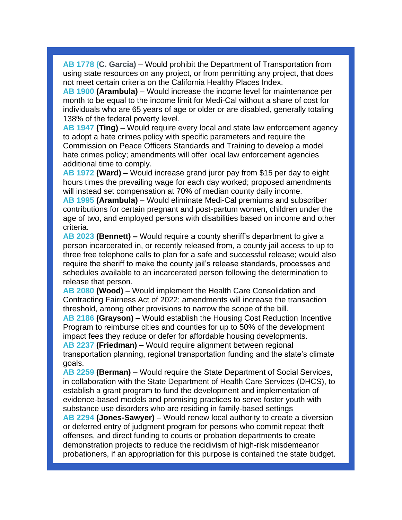**[AB 1778](https://r20.rs6.net/tn.jsp?f=001e4rAQk4eQ4F9Af-Olhs8WxZbydV3DNI7-_kUdNZkBqXXJIrkpiREDu8Ht2EL3Tih4HhUXSLNctfob3Jlq66Bz8kYdzNmvZ1dEfJiBtTDlxDn-DLxG-m29Rz56OemEm0UFi0L2So45wdFeq3wuSuFplKUyPjcyT-eiOW7B3BAwS0zKXx1dAJWNqywwOJNBiFfRN4H7NBQCaS9dpLvz6ouSGyuda_P_MbHGEd-kw5Zh0Q=&c=p7S0SYNVb-LtM5l0fl77PpcEAVz-T4cayI_qCaPf0c7XAAPgHcoiBQ==&ch=XYXVXzQhRucXA9OhFiXWn2jyWjNOLlu3-zLo7ktL87v4Om1BtfkgrQ==) (C. Garcia)** – Would prohibit the Department of Transportation from using state resources on any project, or from permitting any project, that does not meet certain criteria on the California Healthy Places Index.

**[AB 1900](https://r20.rs6.net/tn.jsp?f=001e4rAQk4eQ4F9Af-Olhs8WxZbydV3DNI7-_kUdNZkBqXXJIrkpiREDh0LaEF8yRTbWpSe-LrGbvIQRyGZwJTI2X3-7Od4t3orWAitnDaGWtMH2RDDdSem7PcnEO0KUX7JqL4JWQHIaRLhY3fT0tp-93sEgcwxPmGz-c-L0opu298nZuFCEmck6Fulgahx3SoOEYyZ7zPjLLRXO6SyYWZQoMdAuJRTD51wjce8KefhBPo=&c=p7S0SYNVb-LtM5l0fl77PpcEAVz-T4cayI_qCaPf0c7XAAPgHcoiBQ==&ch=XYXVXzQhRucXA9OhFiXWn2jyWjNOLlu3-zLo7ktL87v4Om1BtfkgrQ==) (Arambula)** – Would increase the income level for maintenance per month to be equal to the income limit for Medi-Cal without a share of cost for individuals who are 65 years of age or older or are disabled, generally totaling 138% of the federal poverty level.

**[AB 1947](https://r20.rs6.net/tn.jsp?f=001e4rAQk4eQ4F9Af-Olhs8WxZbydV3DNI7-_kUdNZkBqXXJIrkpiREDu8Ht2EL3TihAef2kjZv92hqVa1QO5GEBXm1-FvdGNXM6m3_ejbc_tL5rCpV_WJWpNG8Tx1DNPchlqx5v8LVnGsbOpdsB6JxZvNsifZz2QVxG-mclWxgXCmJ-KuWJeUpOzRR6OKnyHoxY5uGG55WxoI0CkdwgCCP9gjqW34PKwFLROeuTm0JTOc=&c=p7S0SYNVb-LtM5l0fl77PpcEAVz-T4cayI_qCaPf0c7XAAPgHcoiBQ==&ch=XYXVXzQhRucXA9OhFiXWn2jyWjNOLlu3-zLo7ktL87v4Om1BtfkgrQ==) (Ting)** – Would require every local and state law enforcement agency to adopt a hate crimes policy with specific parameters and require the Commission on Peace Officers Standards and Training to develop a model hate crimes policy; amendments will offer local law enforcement agencies additional time to comply.

**[AB 1972](https://r20.rs6.net/tn.jsp?f=001e4rAQk4eQ4F9Af-Olhs8WxZbydV3DNI7-_kUdNZkBqXXJIrkpiREDu8Ht2EL3Tihz135SWX6m3x1aIlNt2ITpb-tblZUICYsF4GV85ujfnsngpSpX5iOO5qG9HPzKmGcgB1kp5gSqCZh9bbRAWn-T6IFFy89T40Efl5JVHGOdHrSt4MuGZ3PTT4qWo9qYZo9wYX4lmjYuL0swxC1uceDW5FJLQlIRcPcI8qldx0YuY8=&c=p7S0SYNVb-LtM5l0fl77PpcEAVz-T4cayI_qCaPf0c7XAAPgHcoiBQ==&ch=XYXVXzQhRucXA9OhFiXWn2jyWjNOLlu3-zLo7ktL87v4Om1BtfkgrQ==) (Ward) –** Would increase grand juror pay from \$15 per day to eight hours times the prevailing wage for each day worked; proposed amendments will instead set compensation at 70% of median county daily income.

**[AB 1995](https://r20.rs6.net/tn.jsp?f=001e4rAQk4eQ4F9Af-Olhs8WxZbydV3DNI7-_kUdNZkBqXXJIrkpiREDh0LaEF8yRTbaCJl8xCkHDyxqhF76wqjwW9k477BwOQJI7qt8Q9Ca12j2HgSZnTDGMUfHBgYvgoou-n1Jq7_LXO1MdLUEzB3WDPHp5-soDJvvDwZTbFdHhjnEPySIxwpVThDYFq-IcrnX3uG0Zpd21p62RGPQzk4Xj0cSdGTQzcmtz3q5ij6eSo=&c=p7S0SYNVb-LtM5l0fl77PpcEAVz-T4cayI_qCaPf0c7XAAPgHcoiBQ==&ch=XYXVXzQhRucXA9OhFiXWn2jyWjNOLlu3-zLo7ktL87v4Om1BtfkgrQ==) (Arambula)** – Would eliminate Medi-Cal premiums and subscriber contributions for certain pregnant and post-partum women, children under the age of two, and employed persons with disabilities based on income and other criteria.

**[AB 2023](https://r20.rs6.net/tn.jsp?f=001e4rAQk4eQ4F9Af-Olhs8WxZbydV3DNI7-_kUdNZkBqXXJIrkpiREDu8Ht2EL3TihNKiia8H5lKLXkRMV6j1GHD3NX_hzZ0N2bclg7a8yowDY-AO1EclEHmfJgKDXcw36p_6FAMa1lo4NlhsJeJjQD-TcPU8NZ-llgGzWhEgljxVUd6ytSBrR83XMr5j6aB-Njv8d64ibEQoYp4-iLsX8r8hHStzxYrVVoOnrObM2M8Q=&c=p7S0SYNVb-LtM5l0fl77PpcEAVz-T4cayI_qCaPf0c7XAAPgHcoiBQ==&ch=XYXVXzQhRucXA9OhFiXWn2jyWjNOLlu3-zLo7ktL87v4Om1BtfkgrQ==) (Bennett) –** Would require a county sheriff's department to give a person incarcerated in, or recently released from, a county jail access to up to three free telephone calls to plan for a safe and successful release; would also require the sheriff to make the county jail's release standards, processes and schedules available to an incarcerated person following the determination to release that person.

**[AB 2080](https://r20.rs6.net/tn.jsp?f=001e4rAQk4eQ4F9Af-Olhs8WxZbydV3DNI7-_kUdNZkBqXXJIrkpiREDh0LaEF8yRTbH_BvfQWZc38iKqoCKXkWkNEnaWOjqttMXhxXAqOAaA8b0OYtfVH_hUURjQ92rh1ojVYD7Vjctm0XFQn4LYwPBvNHffcQXLc3Ay0ttXztjMS1FwLKPiGi9GJ4Jqv2kWxqmWsibhCxT328uOQoS7Vhej9AfAxS5qBmWiSY2OcidPs=&c=p7S0SYNVb-LtM5l0fl77PpcEAVz-T4cayI_qCaPf0c7XAAPgHcoiBQ==&ch=XYXVXzQhRucXA9OhFiXWn2jyWjNOLlu3-zLo7ktL87v4Om1BtfkgrQ==) (Wood)** – Would implement the Health Care Consolidation and Contracting Fairness Act of 2022; amendments will increase the transaction threshold, among other provisions to narrow the scope of the bill.

**[AB 2186](https://r20.rs6.net/tn.jsp?f=001e4rAQk4eQ4F9Af-Olhs8WxZbydV3DNI7-_kUdNZkBqXXJIrkpiREDu8Ht2EL3Tihq6OIllqTQnwfEw3K1hOLUghKe3eB1hzy66qGw5IaxTFZJa6fVHRiawC4j8kvjZqSvBBXjYuRf2ZcA536PeiwWY8ZeagzP7Gsi8G_GdMWMVVmNNbs626FP7T3H_0-9l-KOUsoYQ7uTyyP0ofg3Zl7eQqGlYWIVQ1TezSVkHTpZB0=&c=p7S0SYNVb-LtM5l0fl77PpcEAVz-T4cayI_qCaPf0c7XAAPgHcoiBQ==&ch=XYXVXzQhRucXA9OhFiXWn2jyWjNOLlu3-zLo7ktL87v4Om1BtfkgrQ==) (Grayson) –** Would establish the Housing Cost Reduction Incentive Program to reimburse cities and counties for up to 50% of the development impact fees they reduce or defer for affordable housing developments. **[AB 2237](https://r20.rs6.net/tn.jsp?f=001e4rAQk4eQ4F9Af-Olhs8WxZbydV3DNI7-_kUdNZkBqXXJIrkpiREDu8Ht2EL3TihwNzIs0TK9mj4NYbt3i9ivRyj_ak0dTdRlV08cCotpvj3nw2UNxhSBWrR8lOGBTu37EuxmiVfG5GMBds5oiHwakqKF1oCNPEVvR4KM0iu8PiDccycVRtEhPOfqS-JEZyjwH-7bhy62tv9Vpvu6sgE5c59y0WtP_OWm-RDU_i2UNI=&c=p7S0SYNVb-LtM5l0fl77PpcEAVz-T4cayI_qCaPf0c7XAAPgHcoiBQ==&ch=XYXVXzQhRucXA9OhFiXWn2jyWjNOLlu3-zLo7ktL87v4Om1BtfkgrQ==) (Friedman) –** Would require alignment between regional

transportation planning, regional transportation funding and the state's climate goals.

**[AB 2259](https://r20.rs6.net/tn.jsp?f=001e4rAQk4eQ4F9Af-Olhs8WxZbydV3DNI7-_kUdNZkBqXXJIrkpiREDu8Ht2EL3TihzASaKmjmQ36WKWUMSAq_hG-j0a01ZEOqr6btpasUbRKpN3WPK-ImaKgm06S0ZvascIBGboSd5zp6WVw6z_5_j0xecmYEVYOQyYdqglG7_Kk_X3wDC_7Cny2g-49NIGzDe5D1jE58z6prC3yLTjZexLxfnvZzJT9hTFA7W3T3niM=&c=p7S0SYNVb-LtM5l0fl77PpcEAVz-T4cayI_qCaPf0c7XAAPgHcoiBQ==&ch=XYXVXzQhRucXA9OhFiXWn2jyWjNOLlu3-zLo7ktL87v4Om1BtfkgrQ==) (Berman)** – Would require the State Department of Social Services, in collaboration with the State Department of Health Care Services (DHCS), to establish a grant program to fund the development and implementation of evidence-based models and promising practices to serve foster youth with substance use disorders who are residing in family-based settings

**[AB 2294](https://r20.rs6.net/tn.jsp?f=001e4rAQk4eQ4F9Af-Olhs8WxZbydV3DNI7-_kUdNZkBqXXJIrkpiREDh0LaEF8yRTbuywP4jCP3ariclO9tsMFcOFQSArfRAQZByjFOLGcu4fYtiKzrEIN77804Golm9bDpmqQ0kDMFdZ7VQZo-7jl5Ne2A8BI-R7GGqoN6IDM9l-PU1YjThMHeNBaNVeKIeyxWFpdDpytHnh2MeUlWe4NKZbd0_SGCJ8lLn6i-5bKLSU=&c=p7S0SYNVb-LtM5l0fl77PpcEAVz-T4cayI_qCaPf0c7XAAPgHcoiBQ==&ch=XYXVXzQhRucXA9OhFiXWn2jyWjNOLlu3-zLo7ktL87v4Om1BtfkgrQ==) (Jones-Sawyer)** – Would renew local authority to create a diversion or deferred entry of judgment program for persons who commit repeat theft offenses, and direct funding to courts or probation departments to create demonstration projects to reduce the recidivism of high-risk misdemeanor probationers, if an appropriation for this purpose is contained the state budget.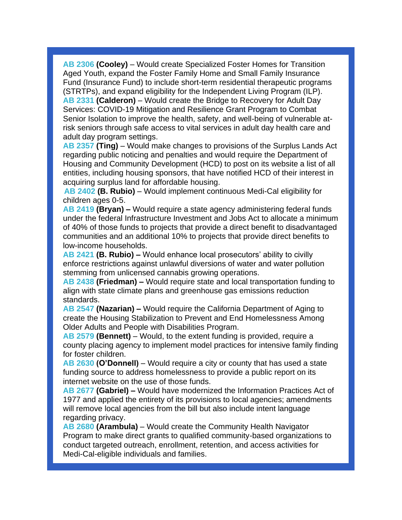**[AB 2306](https://r20.rs6.net/tn.jsp?f=001e4rAQk4eQ4F9Af-Olhs8WxZbydV3DNI7-_kUdNZkBqXXJIrkpiREDu8Ht2EL3TihCYE1Wnxf4yAugAUcbE9DFaL-UBT_vaYmuYhCY_EPiFdIEnD80iP-PIP03ILYwrJXJAx_6ZZpQyS-BETaPRsQlL4Ke5gYgWdglFTJwKU87ON6wmsEttkyiUwE6k91IgS73EYwTXNb0I187UXK0JCE5BCad1cFfjBiNRrL951gqrU=&c=p7S0SYNVb-LtM5l0fl77PpcEAVz-T4cayI_qCaPf0c7XAAPgHcoiBQ==&ch=XYXVXzQhRucXA9OhFiXWn2jyWjNOLlu3-zLo7ktL87v4Om1BtfkgrQ==) (Cooley)** – Would create Specialized Foster Homes for Transition Aged Youth, expand the Foster Family Home and Small Family Insurance Fund (Insurance Fund) to include short-term residential therapeutic programs (STRTPs), and expand eligibility for the Independent Living Program (ILP). **[AB 2331](https://r20.rs6.net/tn.jsp?f=001e4rAQk4eQ4F9Af-Olhs8WxZbydV3DNI7-_kUdNZkBqXXJIrkpiREDu8Ht2EL3TihyQuLjB5ibEXBPG8YMZS8qHC1M0_EfBMiCq4cB_EZjlr6KiprD5Mls3MukQ2yWUdbIoMGFqWRfZn-5NcbKAvsp9OShl7kpN2RgUCJ_jS5lTPk9pduACp3UEE90MqKix9jfweFytLOtTfABcBaG34uIWAl9F4uKwl1Qyg47R_npPY=&c=p7S0SYNVb-LtM5l0fl77PpcEAVz-T4cayI_qCaPf0c7XAAPgHcoiBQ==&ch=XYXVXzQhRucXA9OhFiXWn2jyWjNOLlu3-zLo7ktL87v4Om1BtfkgrQ==) (Calderon)** – Would create the Bridge to Recovery for Adult Day Services: COVID-19 Mitigation and Resilience Grant Program to Combat Senior Isolation to improve the health, safety, and well-being of vulnerable atrisk seniors through safe access to vital services in adult day health care and adult day program settings.

**[AB 2357](https://r20.rs6.net/tn.jsp?f=001e4rAQk4eQ4F9Af-Olhs8WxZbydV3DNI7-_kUdNZkBqXXJIrkpiREDu8Ht2EL3TihDU9Y1Cq8oawo_daLUexoIBp-T6tpZMapypMMMOhB7baaqRpPR4X4FQdFKitQw78vq75F14sUVEBHhUZqNugd5JBozq9wUshOZaxVKCHbN4smcslF90NYsWDygXHLQ8ywHNflKTrYcpMfKdazS6SFiDC8a4rV2EycBoJOBwBaRn0=&c=p7S0SYNVb-LtM5l0fl77PpcEAVz-T4cayI_qCaPf0c7XAAPgHcoiBQ==&ch=XYXVXzQhRucXA9OhFiXWn2jyWjNOLlu3-zLo7ktL87v4Om1BtfkgrQ==) (Ting)** – Would make changes to provisions of the Surplus Lands Act regarding public noticing and penalties and would require the Department of Housing and Community Development (HCD) to post on its website a list of all entities, including housing sponsors, that have notified HCD of their interest in acquiring surplus land for affordable housing.

**[AB 2402](https://r20.rs6.net/tn.jsp?f=001e4rAQk4eQ4F9Af-Olhs8WxZbydV3DNI7-_kUdNZkBqXXJIrkpiREDh0LaEF8yRTbWbuE-fCWoqtak1A4zirvREnzPYmPWumwgNmgEnGJlUMsc8_C-e4rfa1HteN1cwjU2iDUgkMZGXr-KZzZ696TslGI3W39f5Qi0oCRZU8BAnhvo_y_EuLO_foaDNSvhJn4rXocsCKjInc0NaoC6IDdCq38dLkOJ2_zxPGP0CiwyJQ=&c=p7S0SYNVb-LtM5l0fl77PpcEAVz-T4cayI_qCaPf0c7XAAPgHcoiBQ==&ch=XYXVXzQhRucXA9OhFiXWn2jyWjNOLlu3-zLo7ktL87v4Om1BtfkgrQ==) (B. Rubio)** – Would implement continuous Medi-Cal eligibility for children ages 0-5.

**[AB 2419](https://r20.rs6.net/tn.jsp?f=001e4rAQk4eQ4F9Af-Olhs8WxZbydV3DNI7-_kUdNZkBqXXJIrkpiREDu8Ht2EL3Tih34kWn2oyVnooLhL4HysIWUidE4LvB_RO_d-Unv0JyUtNVylmBedULegzY7mbYpKO-ge9wflgwpF3OuVtd9hT0bUg227bRGd10-9o93Vcf9JPdzEpsNtmZbtU9HStQR8UD2A7TnZTVVFI_wH9cFLPHAZmeEJgKKn34z4qrlv2MPY=&c=p7S0SYNVb-LtM5l0fl77PpcEAVz-T4cayI_qCaPf0c7XAAPgHcoiBQ==&ch=XYXVXzQhRucXA9OhFiXWn2jyWjNOLlu3-zLo7ktL87v4Om1BtfkgrQ==) (Bryan) –** Would require a state agency administering federal funds under the federal Infrastructure Investment and Jobs Act to allocate a minimum of 40% of those funds to projects that provide a direct benefit to disadvantaged communities and an additional 10% to projects that provide direct benefits to low-income households.

**[AB 2421](https://r20.rs6.net/tn.jsp?f=001e4rAQk4eQ4F9Af-Olhs8WxZbydV3DNI7-_kUdNZkBqXXJIrkpiREDu8Ht2EL3TihTyPtBw6ec_No2W3W40nrfIiXOTcLo4zk1cROnFanGgJth0JCO8dX8OUZExy12ynWqCWvHWfg4ZomZNvDej8ptMOX4Jg9Snu2kK1DTBlWwiW6FV4KUbpKVpm6HFEx9i1UEoyLRvvSWHFJM2wQapssyvr1gKvWGoufXIfaGLNCmAk=&c=p7S0SYNVb-LtM5l0fl77PpcEAVz-T4cayI_qCaPf0c7XAAPgHcoiBQ==&ch=XYXVXzQhRucXA9OhFiXWn2jyWjNOLlu3-zLo7ktL87v4Om1BtfkgrQ==) (B. Rubio) –** Would enhance local prosecutors' ability to civilly enforce restrictions against unlawful diversions of water and water pollution stemming from unlicensed cannabis growing operations.

**[AB 2438](https://r20.rs6.net/tn.jsp?f=001e4rAQk4eQ4F9Af-Olhs8WxZbydV3DNI7-_kUdNZkBqXXJIrkpiREDqYikOdFovIGrrkxsKhDda0ixZexmWHg2i1iUqnGYnNOJeNeIBPrHFwqlcJbiHMXqVTON59_So_ogsxG7CzU8g01T3eEUIBithN_yVr_y_XwC56z86UFKxqC5axZRjvCHvECAQqik-6NcipmDIF3YRsPgjfnouxwHnip-l817KRCI454d-h5geU=&c=p7S0SYNVb-LtM5l0fl77PpcEAVz-T4cayI_qCaPf0c7XAAPgHcoiBQ==&ch=XYXVXzQhRucXA9OhFiXWn2jyWjNOLlu3-zLo7ktL87v4Om1BtfkgrQ==) (Friedman) –** Would require state and local transportation funding to align with state climate plans and greenhouse gas emissions reduction standards.

**[AB 2547](https://r20.rs6.net/tn.jsp?f=001e4rAQk4eQ4F9Af-Olhs8WxZbydV3DNI7-_kUdNZkBqXXJIrkpiREDu8Ht2EL3TihROGn7J1XyMELEnYQ3NvBQhHz2KhhbiJNZnd8kIk9YAGLsKYLoIXzQyQaH6Q7b1wTNRXWkrmOT7WhmP8m3mwTGe1BdQSrJuGUK3V5_fOiN1s6qXvohPH9OJlCKDHrMROh0fbiFmpICizUwwMpngCViUCf7FwqHDh21JPISQUO8KQ=&c=p7S0SYNVb-LtM5l0fl77PpcEAVz-T4cayI_qCaPf0c7XAAPgHcoiBQ==&ch=XYXVXzQhRucXA9OhFiXWn2jyWjNOLlu3-zLo7ktL87v4Om1BtfkgrQ==) (Nazarian) –** Would require the California Department of Aging to create the Housing Stabilization to Prevent and End Homelessness Among Older Adults and People with Disabilities Program.

**[AB 2579](https://r20.rs6.net/tn.jsp?f=001e4rAQk4eQ4F9Af-Olhs8WxZbydV3DNI7-_kUdNZkBqXXJIrkpiREDu8Ht2EL3TihqeV_Q0obx-A2v9_f-pn5zy0aK510j7NRxsGP-gWCPhpkTi7EAorjH-15143bLG4PjQ-rIl1kccwt05I0TVHbuoixtbws5y7sIUYnWDkdncAV0kcvPBqch6xwCRFMQDeYONdG3Xq0CsyGhA8sQgVnQuBm51dWCnDlknFksl4kQAg=&c=p7S0SYNVb-LtM5l0fl77PpcEAVz-T4cayI_qCaPf0c7XAAPgHcoiBQ==&ch=XYXVXzQhRucXA9OhFiXWn2jyWjNOLlu3-zLo7ktL87v4Om1BtfkgrQ==) (Bennett)** – Would, to the extent funding is provided, require a county placing agency to implement model practices for intensive family finding for foster children.

**[AB 2630](https://r20.rs6.net/tn.jsp?f=001e4rAQk4eQ4F9Af-Olhs8WxZbydV3DNI7-_kUdNZkBqXXJIrkpiREDu8Ht2EL3TihkrVMp-X4GyIxssxkFBeScw-w75BTPo30W1y63IDBxMvVtgAvjBZLRJ0Plt4b9ZAlRUeHsaiQHUsjSgt1q7dbOtcIC4deGmrl2AGYl5DC67rHYrdwn20Ai88S5O7EVYHg9NT8iiq7hYwE9irwjfDFvIsifyyas-aIrsVqTqnD-zU=&c=p7S0SYNVb-LtM5l0fl77PpcEAVz-T4cayI_qCaPf0c7XAAPgHcoiBQ==&ch=XYXVXzQhRucXA9OhFiXWn2jyWjNOLlu3-zLo7ktL87v4Om1BtfkgrQ==) (O'Donnell)** – Would require a city or county that has used a state funding source to address homelessness to provide a public report on its internet website on the use of those funds.

**[AB 2677](https://r20.rs6.net/tn.jsp?f=001e4rAQk4eQ4F9Af-Olhs8WxZbydV3DNI7-_kUdNZkBqXXJIrkpiREDu8Ht2EL3TihFnRb1Dl0mhzoZLe4EFo_xGICeOvrvvjCdg0WQpwGHvuMHkVqYqshY6YaHrEQkJ1FVhRZO2VPmLOV7ydqye6mjV3u9_oZOo02EQSbAMnYT4hIlDajHdTHbd5NPy4JsyCOgzaM8cUJP2gyTYjylIDX_opBUTITyqGegosd8ZdPdjs=&c=p7S0SYNVb-LtM5l0fl77PpcEAVz-T4cayI_qCaPf0c7XAAPgHcoiBQ==&ch=XYXVXzQhRucXA9OhFiXWn2jyWjNOLlu3-zLo7ktL87v4Om1BtfkgrQ==) (Gabriel) –** Would have modernized the Information Practices Act of 1977 and applied the entirety of its provisions to local agencies; amendments will remove local agencies from the bill but also include intent language regarding privacy.

**[AB 2680](https://r20.rs6.net/tn.jsp?f=001e4rAQk4eQ4F9Af-Olhs8WxZbydV3DNI7-_kUdNZkBqXXJIrkpiREDu8Ht2EL3TihchMG3HBAT-OwNp3eQeWtzPA0Css0aaDcT_ckNUwPn7dt065m1cY-reRaY04xJO7gkCsCpmn14FFOzhXNdToxQY2f263iWalmJ7vtDMc5KcX2kx_RW6Hmer7RR3kunRkydSd5lvLon1sV4ZqUx3i-OWeV2K0ljN3P116e0BVe5Pc=&c=p7S0SYNVb-LtM5l0fl77PpcEAVz-T4cayI_qCaPf0c7XAAPgHcoiBQ==&ch=XYXVXzQhRucXA9OhFiXWn2jyWjNOLlu3-zLo7ktL87v4Om1BtfkgrQ==) (Arambula)** – Would create the Community Health Navigator Program to make direct grants to qualified community-based organizations to conduct targeted outreach, enrollment, retention, and access activities for Medi-Cal-eligible individuals and families.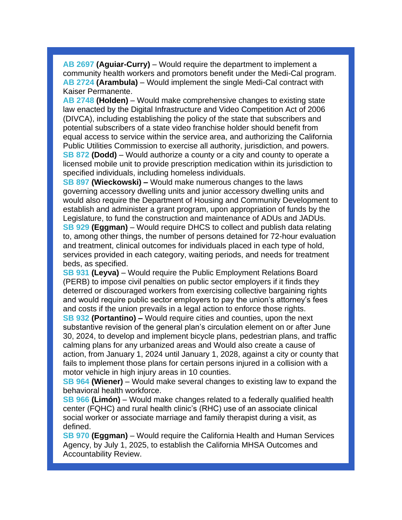**[AB 2697](https://r20.rs6.net/tn.jsp?f=001e4rAQk4eQ4F9Af-Olhs8WxZbydV3DNI7-_kUdNZkBqXXJIrkpiREDu8Ht2EL3Tih_iLc_t2g57iKwZIjMPY1v7cVJQJz21KZ0vk3qsi8AubjlPkhzuLYz4vLTEld7941W-mhzZs9NO-lPtEHcNvjxez45G7xL9DrQBSfqUtloyJcGhwUs_XyO2HEMeB2g4HnddH5WuQrSjK7PsS8vYnEf5hYfDWob8_xc20GUhzfCAc=&c=p7S0SYNVb-LtM5l0fl77PpcEAVz-T4cayI_qCaPf0c7XAAPgHcoiBQ==&ch=XYXVXzQhRucXA9OhFiXWn2jyWjNOLlu3-zLo7ktL87v4Om1BtfkgrQ==) (Aguiar-Curry)** – Would require the department to implement a community health workers and promotors benefit under the Medi-Cal program. **[AB 2724](https://r20.rs6.net/tn.jsp?f=001e4rAQk4eQ4F9Af-Olhs8WxZbydV3DNI7-_kUdNZkBqXXJIrkpiREDqYikOdFovIGo-pS7YuHyXv2KQdDOaWg3ZclCdqcbrPwE-P6MpmW3Sap2dCIlfOh_tcTArSulC0qnTMppgyvIUrdYMVjasbuf39GeFx7RaqFkEY0X1ogClrd0O75G2J9iWFzB6lCfGc2s3q3Kf3v1VjvyBLAue62aO-GC24H5RtzrKPFPAM0rE8=&c=p7S0SYNVb-LtM5l0fl77PpcEAVz-T4cayI_qCaPf0c7XAAPgHcoiBQ==&ch=XYXVXzQhRucXA9OhFiXWn2jyWjNOLlu3-zLo7ktL87v4Om1BtfkgrQ==) (Arambula)** – Would implement the single Medi-Cal contract with Kaiser Permanente.

**[AB 2748](https://r20.rs6.net/tn.jsp?f=001e4rAQk4eQ4F9Af-Olhs8WxZbydV3DNI7-_kUdNZkBqXXJIrkpiREDu8Ht2EL3Tih5ZvSHkpJ0JjEXO4rhfquO6Dq0ywrAsv05y2COC4FdEQeMNT92aHKYHQBMbKKUcedItKew4cwqyBf81tEm1dmTAS9MlCHhXEDMt_uDzsUOaO9E0_hn-cznuz3ukcmBtRJq8LgYIV57LyTtDw8TkrcVX_aicO37gtPQeuvpCeIW7M=&c=p7S0SYNVb-LtM5l0fl77PpcEAVz-T4cayI_qCaPf0c7XAAPgHcoiBQ==&ch=XYXVXzQhRucXA9OhFiXWn2jyWjNOLlu3-zLo7ktL87v4Om1BtfkgrQ==) (Holden)** – Would make comprehensive changes to existing state law enacted by the Digital Infrastructure and Video Competition Act of 2006 (DIVCA), including establishing the policy of the state that subscribers and potential subscribers of a state video franchise holder should benefit from equal access to service within the service area, and authorizing the California Public Utilities Commission to exercise all authority, jurisdiction, and powers. **[SB 872](https://r20.rs6.net/tn.jsp?f=001e4rAQk4eQ4F9Af-Olhs8WxZbydV3DNI7-_kUdNZkBqXXJIrkpiREDu8Ht2EL3TihuL2PLPxQkJeIor0W2bvxm9lq_N5MS2zv45QpdOS02kQo08ZflB7svsMPxo_BUSS4Vzfow_Mieajd4F7qnXvMv2a9nyBSQPvWAOjEANjbFkNy2zxrsNFFhFCkOcB9ids62Qlm_i9QaNRFfZeZmxZbbtUNuoHpNQkUmRaMSfNunsU=&c=p7S0SYNVb-LtM5l0fl77PpcEAVz-T4cayI_qCaPf0c7XAAPgHcoiBQ==&ch=XYXVXzQhRucXA9OhFiXWn2jyWjNOLlu3-zLo7ktL87v4Om1BtfkgrQ==) (Dodd)** – Would authorize a county or a city and county to operate a licensed mobile unit to provide prescription medication within its jurisdiction to specified individuals, including homeless individuals.

**[SB 897](https://r20.rs6.net/tn.jsp?f=001e4rAQk4eQ4F9Af-Olhs8WxZbydV3DNI7-_kUdNZkBqXXJIrkpiREDu8Ht2EL3Tihn2EOO4qgftLXFmlNBWIE3kJwyL3lIYw9mqYn91iTCaRLUcEAfjRDFj6XmjoHXvLbt0s5y7ptY57123qkNxd-nDaLlDEeew94MQz9ffONfsTgmvDyt1JYkv42X3eicj4KpITOhC7vmRZq_NUGmjTqxMba0ODBksIpIVtWUiY4-XU=&c=p7S0SYNVb-LtM5l0fl77PpcEAVz-T4cayI_qCaPf0c7XAAPgHcoiBQ==&ch=XYXVXzQhRucXA9OhFiXWn2jyWjNOLlu3-zLo7ktL87v4Om1BtfkgrQ==) (Wieckowski) –** Would make numerous changes to the laws governing accessory dwelling units and junior accessory dwelling units and would also require the Department of Housing and Community Development to establish and administer a grant program, upon appropriation of funds by the Legislature, to fund the construction and maintenance of ADUs and JADUs. **[SB 929](https://r20.rs6.net/tn.jsp?f=001e4rAQk4eQ4F9Af-Olhs8WxZbydV3DNI7-_kUdNZkBqXXJIrkpiREDu8Ht2EL3TihV_3KfVQ0mC3JDC2Ir_s1OEKCIuy6Ev9n9r1a97TzPh-SGpR7rJrZ6hrFNKZG_lbUns3rq47LcC_BruC2kIwkW6Bs9bURtzTp4F5NPdNDDqWjNynhHnyhTt5PNP2BfkG8XFpVKZ-fqEt5PbfOtsLjZP6ILkUt5Mgf77mNgKm2sus=&c=p7S0SYNVb-LtM5l0fl77PpcEAVz-T4cayI_qCaPf0c7XAAPgHcoiBQ==&ch=XYXVXzQhRucXA9OhFiXWn2jyWjNOLlu3-zLo7ktL87v4Om1BtfkgrQ==) (Eggman)** – Would require DHCS to collect and publish data relating to, among other things, the number of persons detained for 72-hour evaluation and treatment, clinical outcomes for individuals placed in each type of hold,

services provided in each category, waiting periods, and needs for treatment beds, as specified. **[SB 931](https://r20.rs6.net/tn.jsp?f=001e4rAQk4eQ4F9Af-Olhs8WxZbydV3DNI7-_kUdNZkBqXXJIrkpiREDu8Ht2EL3Tihz_XHFHUuigo81P0uuLsCjkkXEQ_6w3SoDqqIEBzWfApFwFXkQR8tc0_E_RXSPFJ0CsMWW9jetgTkC_CHRo2IvOxrYcVdt0N9p8WaXRV8k5FAL725UIRhKJX_dhB2SK9R261uWk_AXpyDxPzC-3Oay8YWYfDVGCXqMDU5jAGf_rc=&c=p7S0SYNVb-LtM5l0fl77PpcEAVz-T4cayI_qCaPf0c7XAAPgHcoiBQ==&ch=XYXVXzQhRucXA9OhFiXWn2jyWjNOLlu3-zLo7ktL87v4Om1BtfkgrQ==) (Leyva)** – Would require the Public Employment Relations Board

(PERB) to impose civil penalties on public sector employers if it finds they deterred or discouraged workers from exercising collective bargaining rights and would require public sector employers to pay the union's attorney's fees and costs if the union prevails in a legal action to enforce those rights.

**[SB 932](https://r20.rs6.net/tn.jsp?f=001e4rAQk4eQ4F9Af-Olhs8WxZbydV3DNI7-_kUdNZkBqXXJIrkpiREDu8Ht2EL3Tih-_4xEyYL7p9DH36RgTBpmZxSkQXGIghWOhalYNaRnojGmgYHaiLZhnG1nlARBvriFAcN_KDukhIqMlOpPb2NjebJx3QN3hDGA14Y1wUooC3fcoLE01veMc-OOepQgB7Se8Jj4iu3h81nUJdJl1Kw5Yh8Fc994DgnEEvY4r-7hCs=&c=p7S0SYNVb-LtM5l0fl77PpcEAVz-T4cayI_qCaPf0c7XAAPgHcoiBQ==&ch=XYXVXzQhRucXA9OhFiXWn2jyWjNOLlu3-zLo7ktL87v4Om1BtfkgrQ==) (Portantino) –** Would require cities and counties, upon the next substantive revision of the general plan's circulation element on or after June 30, 2024, to develop and implement bicycle plans, pedestrian plans, and traffic calming plans for any urbanized areas and Would also create a cause of action, from January 1, 2024 until January 1, 2028, against a city or county that fails to implement those plans for certain persons injured in a collision with a motor vehicle in high injury areas in 10 counties.

**[SB 964](https://r20.rs6.net/tn.jsp?f=001e4rAQk4eQ4F9Af-Olhs8WxZbydV3DNI7-_kUdNZkBqXXJIrkpiREDu8Ht2EL3TihR64QfBNgiPWs-WsNhkGBQVubUH_NTZTw8CEVTCNysAqgo369svoyfE9K4NYgVJRWwxsG7muxbnPfO461ICApp2-N_4e1WJ2JswlOWslyjqWxwpMVCj-gNBH_v1_ocsVgcBR7o-jzYIaaV_pf_kV0JLqU1lOrHfiLuJLDGJvgyKc=&c=p7S0SYNVb-LtM5l0fl77PpcEAVz-T4cayI_qCaPf0c7XAAPgHcoiBQ==&ch=XYXVXzQhRucXA9OhFiXWn2jyWjNOLlu3-zLo7ktL87v4Om1BtfkgrQ==) (Wiener)** – Would make several changes to existing law to expand the behavioral health workforce.

**[SB 966](https://r20.rs6.net/tn.jsp?f=001e4rAQk4eQ4F9Af-Olhs8WxZbydV3DNI7-_kUdNZkBqXXJIrkpiREDu8Ht2EL3TihHZmwln3G6LleUChfCo1DWMeyLedPCtrhwV8zptbOW2MQP5t1yOVBIsdkDdo6VbczbOKP9iBtP2EXLkTs0Bc2Uprg5nUn1GFBTblhlzoEG0dKe5kwZ6OkPLzAyU4S_mzm6pISCHAd7N7CMFdpcsGTQxbs7Isy1eEIiHHgA0v7x4M=&c=p7S0SYNVb-LtM5l0fl77PpcEAVz-T4cayI_qCaPf0c7XAAPgHcoiBQ==&ch=XYXVXzQhRucXA9OhFiXWn2jyWjNOLlu3-zLo7ktL87v4Om1BtfkgrQ==) (Limón)** – Would make changes related to a federally qualified health center (FQHC) and rural health clinic's (RHC) use of an associate clinical social worker or associate marriage and family therapist during a visit, as defined.

**[SB 970](https://r20.rs6.net/tn.jsp?f=001e4rAQk4eQ4F9Af-Olhs8WxZbydV3DNI7-_kUdNZkBqXXJIrkpiREDu8Ht2EL3TihKL0aPjtcs4-i5v9qKF2NlMWS7zMOOnuPP4hmlYUi4nSAYj_PsyZ9pH6Vux-TsAlbANL3--Vz7ztPlCVW5Fwhn62niZh8p4e4hxulEFy4bjhtluZaRau-D3XG9csBUBj3jHxPtTg5qSBADusd_BVmAQxWcCyRmbjn5aK6sVuaCaM=&c=p7S0SYNVb-LtM5l0fl77PpcEAVz-T4cayI_qCaPf0c7XAAPgHcoiBQ==&ch=XYXVXzQhRucXA9OhFiXWn2jyWjNOLlu3-zLo7ktL87v4Om1BtfkgrQ==) (Eggman)** – Would require the California Health and Human Services Agency, by July 1, 2025, to establish the California MHSA Outcomes and Accountability Review.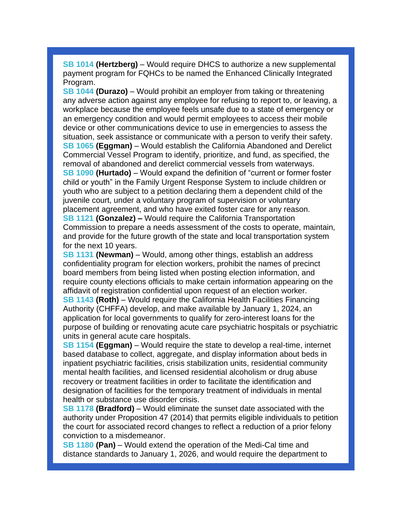**[SB 1014](https://r20.rs6.net/tn.jsp?f=001e4rAQk4eQ4F9Af-Olhs8WxZbydV3DNI7-_kUdNZkBqXXJIrkpiREDu8Ht2EL3TihQdsnHLRGPu9ppXIY-xcwg-JXVbHjdZCT28H2bKKiialgDi5LHS_BXMRUYsxZx0b-c9WyxHNXurCfC5_9jj9FmCF4dSvZkAVvE2GpXzwc4mjqa9iq83s_6DBFyEaHE5hKqVeqlO4Irx-aAiEe3eENk-W_31afTUWDAjhLd50BH3U=&c=p7S0SYNVb-LtM5l0fl77PpcEAVz-T4cayI_qCaPf0c7XAAPgHcoiBQ==&ch=XYXVXzQhRucXA9OhFiXWn2jyWjNOLlu3-zLo7ktL87v4Om1BtfkgrQ==) (Hertzberg)** – Would require DHCS to authorize a new supplemental payment program for FQHCs to be named the Enhanced Clinically Integrated Program.

**[SB 1044](https://r20.rs6.net/tn.jsp?f=001e4rAQk4eQ4F9Af-Olhs8WxZbydV3DNI7-_kUdNZkBqXXJIrkpiREDu8Ht2EL3TihputQzlMtXeCKR35KPXSEZ7opzPZve6Y258Aj-rnSlBrNVrl_KEHenC7I6U87lT2k2iM6chyJ8modgqLEZ_5-wAJtAuB666ap96lCAljduw-tNLSDGvFp4f5omQZ_wpTPs5oYO-eAlwEKXwgK25HOnG8x55hJPoYQX3qDJp1rsH4=&c=p7S0SYNVb-LtM5l0fl77PpcEAVz-T4cayI_qCaPf0c7XAAPgHcoiBQ==&ch=XYXVXzQhRucXA9OhFiXWn2jyWjNOLlu3-zLo7ktL87v4Om1BtfkgrQ==) (Durazo)** – Would prohibit an employer from taking or threatening any adverse action against any employee for refusing to report to, or leaving, a workplace because the employee feels unsafe due to a state of emergency or an emergency condition and would permit employees to access their mobile device or other communications device to use in emergencies to assess the situation, seek assistance or communicate with a person to verify their safety. **[SB 1065](https://r20.rs6.net/tn.jsp?f=001e4rAQk4eQ4F9Af-Olhs8WxZbydV3DNI7-_kUdNZkBqXXJIrkpiREDu8Ht2EL3Tihc02orwfH9IhQwFLwU_zABDwDE5j6claxWfNvPuLxSIj6xueAwX1m-obwHsXrE9YuX27T3FQ5f0X_Mv5s89FThA1fbujfLTk_nIWYghMfCVNFtRuqBI8P2uC0SGxcUkrhzwQuEZEFBwptYtuEY-ZcJrv8MHSATULUYNicnti9SgT40ZoFtbt-sQ==&c=p7S0SYNVb-LtM5l0fl77PpcEAVz-T4cayI_qCaPf0c7XAAPgHcoiBQ==&ch=XYXVXzQhRucXA9OhFiXWn2jyWjNOLlu3-zLo7ktL87v4Om1BtfkgrQ==) (Eggman)** – Would establish the California Abandoned and Derelict Commercial Vessel Program to identify, prioritize, and fund, as specified, the removal of abandoned and derelict commercial vessels from waterways. **[SB 1090](https://r20.rs6.net/tn.jsp?f=001e4rAQk4eQ4F9Af-Olhs8WxZbydV3DNI7-_kUdNZkBqXXJIrkpiREDu8Ht2EL3TihEtw-YCNo-hKdwl6ZuK3ysZHa5UQRgUyEvRmvf6tCRo4vwX_9Tzq8aFNu2UXiw9dSiBu0C1TwtX8tRoXiAQmugr1UGYaZbIYAia1umFOWASwuQcNAFW8lt6pplGTbivXnFqzpoJt9fSMp0SFE0Yh3zBumfvoWanSZLVsnS6cM6RE=&c=p7S0SYNVb-LtM5l0fl77PpcEAVz-T4cayI_qCaPf0c7XAAPgHcoiBQ==&ch=XYXVXzQhRucXA9OhFiXWn2jyWjNOLlu3-zLo7ktL87v4Om1BtfkgrQ==) (Hurtado)** – Would expand the definition of "current or former foster child or youth" in the Family Urgent Response System to include children or youth who are subject to a petition declaring them a dependent child of the juvenile court, under a voluntary program of supervision or voluntary placement agreement, and who have exited foster care for any reason. **[SB 1121](https://r20.rs6.net/tn.jsp?f=001e4rAQk4eQ4F9Af-Olhs8WxZbydV3DNI7-_kUdNZkBqXXJIrkpiREDu8Ht2EL3TihbUVhfzDf_jqULgm_mrcdj0eqho1WmPxBgILqcMJLLgU-967PY1nBCC8nvux8zVWy-vb5lALQKiXWM_AxIrNIexgJshOdpyZCcA3FjLRCQuOXdBOpdEWRTbfGIpRwejoKlhdwe5mJCThl12hNlErD49XApruVcjah-M6dkiJps-Q=&c=p7S0SYNVb-LtM5l0fl77PpcEAVz-T4cayI_qCaPf0c7XAAPgHcoiBQ==&ch=XYXVXzQhRucXA9OhFiXWn2jyWjNOLlu3-zLo7ktL87v4Om1BtfkgrQ==) (Gonzalez) –** Would require the California Transportation Commission to prepare a needs assessment of the costs to operate, maintain, and provide for the future growth of the state and local transportation system for the next 10 years.

**[SB 1131](https://r20.rs6.net/tn.jsp?f=001e4rAQk4eQ4F9Af-Olhs8WxZbydV3DNI7-_kUdNZkBqXXJIrkpiREDu8Ht2EL3Tihx18yLK2K8epF26IXhobXxjgTVAsH6ejfXjNDKun3fNFGR7cHkALdLh_qv7jGtHrwCWVwMHERzv9FGJr0bVF-b7zQsUIGgo2SUu8Df_Z2DbGCaSeO80JkQwuCJ2Ps7BNjAusC6FZ4CVbziGDA-OquMfzZ-X7qij111JDrxDwAg4imw2d-W_PMAA==&c=p7S0SYNVb-LtM5l0fl77PpcEAVz-T4cayI_qCaPf0c7XAAPgHcoiBQ==&ch=XYXVXzQhRucXA9OhFiXWn2jyWjNOLlu3-zLo7ktL87v4Om1BtfkgrQ==) (Newman)** – Would, among other things, establish an address confidentiality program for election workers, prohibit the names of precinct board members from being listed when posting election information, and require county elections officials to make certain information appearing on the affidavit of registration confidential upon request of an election worker. **[SB 1143](https://r20.rs6.net/tn.jsp?f=001e4rAQk4eQ4F9Af-Olhs8WxZbydV3DNI7-_kUdNZkBqXXJIrkpiREDu8Ht2EL3Tihs5t36HX3mU3AnEAC2chbsEHuFLXcSPJOCfFyhNnxXT4E-jl8NimW_WFxyxYTeph4Su7ZgojfMPxT0ijBCBRob8i0K7Cw0cOpmLdQE8D7zaEP0gHrxq6WzyUUPkUL7-fWpA5xaeIEiXkGzoAvfs1A_H_oIEDNoIGRsS0Yc_oxvJw=&c=p7S0SYNVb-LtM5l0fl77PpcEAVz-T4cayI_qCaPf0c7XAAPgHcoiBQ==&ch=XYXVXzQhRucXA9OhFiXWn2jyWjNOLlu3-zLo7ktL87v4Om1BtfkgrQ==) (Roth)** – Would require the California Health Facilities Financing Authority (CHFFA) develop, and make available by January 1, 2024, an application for local governments to qualify for zero-interest loans for the purpose of building or renovating acute care psychiatric hospitals or psychiatric units in general acute care hospitals.

**[SB 1154](https://r20.rs6.net/tn.jsp?f=001e4rAQk4eQ4F9Af-Olhs8WxZbydV3DNI7-_kUdNZkBqXXJIrkpiREDu8Ht2EL3TihAMVSAUglPjIoxKfsBrPfhaGB8uIVn8gkhOFKPvhyVKye_59iya5cRR-eJnTkwXlCCa9Euo4ldPXHDZOideOTsJ-0nAcINKoXU5dI33-K3j12GD5t5OQh_78ITGeNQ3XLD5JTcSvO5nde911HQBgx3nZsqrXRVhiYQ-uAKzZIyqQ=&c=p7S0SYNVb-LtM5l0fl77PpcEAVz-T4cayI_qCaPf0c7XAAPgHcoiBQ==&ch=XYXVXzQhRucXA9OhFiXWn2jyWjNOLlu3-zLo7ktL87v4Om1BtfkgrQ==) (Eggman)** – Would require the state to develop a real-time, internet based database to collect, aggregate, and display information about beds in inpatient psychiatric facilities, crisis stabilization units, residential community mental health facilities, and licensed residential alcoholism or drug abuse recovery or treatment facilities in order to facilitate the identification and designation of facilities for the temporary treatment of individuals in mental health or substance use disorder crisis.

**[SB 1178](https://r20.rs6.net/tn.jsp?f=001e4rAQk4eQ4F9Af-Olhs8WxZbydV3DNI7-_kUdNZkBqXXJIrkpiREDu8Ht2EL3TihAmD1YSlnRSPPqOyyM0tBicPaDt7VuSKhGCsnK8sWD3BF-KcwvrmQUiOYn9YsS-13D0HBJPki3fUoc518-PUUiHMKPEgktzhlbqFCf2GvjWhyqIl4TrXaeqdncaGP-0KAnf5QuxdgWQI88Y-OO0YA_XPczX-bRB_KDMyN5VVFMqA=&c=p7S0SYNVb-LtM5l0fl77PpcEAVz-T4cayI_qCaPf0c7XAAPgHcoiBQ==&ch=XYXVXzQhRucXA9OhFiXWn2jyWjNOLlu3-zLo7ktL87v4Om1BtfkgrQ==) (Bradford)** – Would eliminate the sunset date associated with the authority under Proposition 47 (2014) that permits eligible individuals to petition the court for associated record changes to reflect a reduction of a prior felony conviction to a misdemeanor.

**[SB 1180](https://r20.rs6.net/tn.jsp?f=001e4rAQk4eQ4F9Af-Olhs8WxZbydV3DNI7-_kUdNZkBqXXJIrkpiREDu8Ht2EL3TihpbTQHH6VzjSHKbzBbFhc3mvpCCkro-SVUnyeJl6QTPl1lsramz6ut1NodYobpAxK8XKwRrWDZlwM02K7QfTubd3AZlSZazJTiXhRPs8EH4MPop1Henr23UggB1yAY8RP3zZNa6ytWf6IM2Ms9w9Rxriq2cC5Ay8u5F1HrH72bTI=&c=p7S0SYNVb-LtM5l0fl77PpcEAVz-T4cayI_qCaPf0c7XAAPgHcoiBQ==&ch=XYXVXzQhRucXA9OhFiXWn2jyWjNOLlu3-zLo7ktL87v4Om1BtfkgrQ==) (Pan)** – Would extend the operation of the Medi-Cal time and distance standards to January 1, 2026, and would require the department to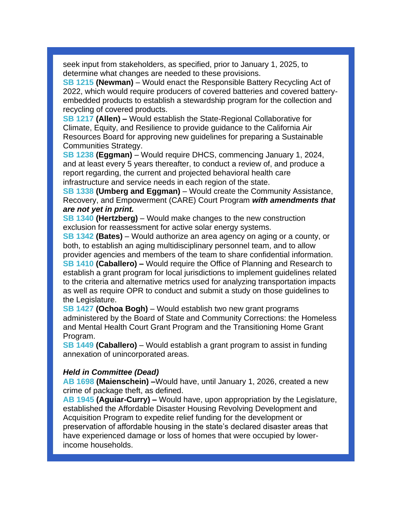seek input from stakeholders, as specified, prior to January 1, 2025, to determine what changes are needed to these provisions.

**[SB 1215](https://r20.rs6.net/tn.jsp?f=001e4rAQk4eQ4F9Af-Olhs8WxZbydV3DNI7-_kUdNZkBqXXJIrkpiREDu8Ht2EL3TihMITyq_sulpi8zAQnL7oCX9SDCRgmowMjTJHzzSwfcu5Mm6RaicqQdfSfQEC9ON7AlZLL29fdHlaO4oh0TD9W58xRvBvabY5lxy4fntSQkNR1MsY8XHOrCLP1GHkHkToQ9_mVn4gC4zxhI4qt8S4IeEJCdnDzrV9MZuS92ib7C6g=&c=p7S0SYNVb-LtM5l0fl77PpcEAVz-T4cayI_qCaPf0c7XAAPgHcoiBQ==&ch=XYXVXzQhRucXA9OhFiXWn2jyWjNOLlu3-zLo7ktL87v4Om1BtfkgrQ==) (Newman)** – Would enact the Responsible Battery Recycling Act of 2022, which would require producers of covered batteries and covered batteryembedded products to establish a stewardship program for the collection and recycling of covered products.

**[SB 1217](https://r20.rs6.net/tn.jsp?f=001e4rAQk4eQ4F9Af-Olhs8WxZbydV3DNI7-_kUdNZkBqXXJIrkpiREDu8Ht2EL3Tih-8K9hhRC6_Bkbhd9KgABDvK1niQBKaz7LGrMMp3QDqQi1f7Rpiuj4-HpHr6Rr-0z5lwgDLCWzj_IkhymEkLgoDd6NNtLA342okXsyacID813Id_58ygLBvHWw9x2OD4d_0eKldc5V0zVGv2C-cKgQIgmE1b07RguXoMaDXzUwoI=&c=p7S0SYNVb-LtM5l0fl77PpcEAVz-T4cayI_qCaPf0c7XAAPgHcoiBQ==&ch=XYXVXzQhRucXA9OhFiXWn2jyWjNOLlu3-zLo7ktL87v4Om1BtfkgrQ==) (Allen) –** Would establish the State-Regional Collaborative for Climate, Equity, and Resilience to provide guidance to the California Air Resources Board for approving new guidelines for preparing a Sustainable Communities Strategy.

**[SB 1238](https://r20.rs6.net/tn.jsp?f=001e4rAQk4eQ4F9Af-Olhs8WxZbydV3DNI7-_kUdNZkBqXXJIrkpiREDu8Ht2EL3Tihdw_ZHNC-oJ8YL-MDshsVlhA7sCB5JbTHL4hGdc0mxsfTukRWA7fU7SWBgubKhOh99yAl1Z7XmGQ5rtMxfK_ruQj9hp3ijjek9cyC0sSYS0ZfAYertXJ8HFvhWFWgbpcutEU5xNE1mBkuKdfXw5frb3VF2NHKZOxF8uw7JOMjLbU=&c=p7S0SYNVb-LtM5l0fl77PpcEAVz-T4cayI_qCaPf0c7XAAPgHcoiBQ==&ch=XYXVXzQhRucXA9OhFiXWn2jyWjNOLlu3-zLo7ktL87v4Om1BtfkgrQ==) (Eggman)** – Would require DHCS, commencing January 1, 2024, and at least every 5 years thereafter, to conduct a review of, and produce a report regarding, the current and projected behavioral health care infrastructure and service needs in each region of the state.

**[SB 1338](https://r20.rs6.net/tn.jsp?f=001e4rAQk4eQ4F9Af-Olhs8WxZbydV3DNI7-_kUdNZkBqXXJIrkpiREDmvSRsgLY0xrrjJ8Do6LmOsf1deaYRpAqiH5e3aLTB-Nix8d5N_7XLh_GJfRu45XW8frhCgSOrwRoWtuuvE2Dqsd4rhJkgO9n-QFBKShGPv-2kt65I6SvJYOyR3LmbGBg7NXl3xAXXzE8OLmrWUS0W6NBHT5cvmAHojjhg2A-7tOkyPrqPAk7bE=&c=p7S0SYNVb-LtM5l0fl77PpcEAVz-T4cayI_qCaPf0c7XAAPgHcoiBQ==&ch=XYXVXzQhRucXA9OhFiXWn2jyWjNOLlu3-zLo7ktL87v4Om1BtfkgrQ==) (Umberg and Eggman)** – Would create the Community Assistance, Recovery, and Empowerment (CARE) Court Program *with amendments that are not yet in print.*

**[SB 1340](https://r20.rs6.net/tn.jsp?f=001e4rAQk4eQ4F9Af-Olhs8WxZbydV3DNI7-_kUdNZkBqXXJIrkpiREDu8Ht2EL3Tih-agwUwgVG1CLiDvHwE-utC2HOd3ZcUjFACekt-cNNQTbIEWabFj8MdV834vUT02KGq8kTLqvlkGi7KwcELrhaZe8DJaGTyeamC7jcsNgh2Xuz-Fuuktq6oX9NQbPETaFgHmaDIUz2iXG4fuc4TKyroVMxyms-3Ryy_ObCfAPtGU=&c=p7S0SYNVb-LtM5l0fl77PpcEAVz-T4cayI_qCaPf0c7XAAPgHcoiBQ==&ch=XYXVXzQhRucXA9OhFiXWn2jyWjNOLlu3-zLo7ktL87v4Om1BtfkgrQ==) (Hertzberg)** – Would make changes to the new construction exclusion for reassessment for active solar energy systems.

**[SB 1342](https://r20.rs6.net/tn.jsp?f=001e4rAQk4eQ4F9Af-Olhs8WxZbydV3DNI7-_kUdNZkBqXXJIrkpiREDu8Ht2EL3TihLwM3x7q1bjk0NKLFulMgwWEAQ4W1RkMcfbEy_pVd0Zs1NBdeshnIQ83WwQacsW2kLXLfoGVAFEtcPmq69SgvrmTqd-Tj3OZgt2fVknb1qXGhHKE7JYDO9HOLkNNvrx8q4g-o_LaZ4-0HlmeQeaswe3BgiZBClpFCkSuWfDRnCjk=&c=p7S0SYNVb-LtM5l0fl77PpcEAVz-T4cayI_qCaPf0c7XAAPgHcoiBQ==&ch=XYXVXzQhRucXA9OhFiXWn2jyWjNOLlu3-zLo7ktL87v4Om1BtfkgrQ==) (Bates)** – Would authorize an area agency on aging or a county, or both, to establish an aging multidisciplinary personnel team, and to allow provider agencies and members of the team to share confidential information.

**[SB 1410](https://r20.rs6.net/tn.jsp?f=001e4rAQk4eQ4F9Af-Olhs8WxZbydV3DNI7-_kUdNZkBqXXJIrkpiREDu8Ht2EL3TihcxiUa6ovbPpkv3OUZjJPkqmxuBLzxXsDKIpCSDanUQyHDEkUpEnbSJ99NeoMJM1QsJLWd8Ua2-aFzixu_dcAvULT1-vaJCtnPF9W6HwjBcNLjxzFH38GR7r9V77CFD15YBAzpm4K-QET9Ua0JQ__lvFkOdqDGUhfk7Is2BGKoZU=&c=p7S0SYNVb-LtM5l0fl77PpcEAVz-T4cayI_qCaPf0c7XAAPgHcoiBQ==&ch=XYXVXzQhRucXA9OhFiXWn2jyWjNOLlu3-zLo7ktL87v4Om1BtfkgrQ==) (Caballero) –** Would require the Office of Planning and Research to establish a grant program for local jurisdictions to implement guidelines related to the criteria and alternative metrics used for analyzing transportation impacts as well as require OPR to conduct and submit a study on those guidelines to the Legislature.

**[SB 1427](https://r20.rs6.net/tn.jsp?f=001e4rAQk4eQ4F9Af-Olhs8WxZbydV3DNI7-_kUdNZkBqXXJIrkpiREDu8Ht2EL3TihgAhckXURli0rOSCjYkTfZTqR5hZ37HhS78Os9h8rHh8JSgx45OplJMMQ38PJHkOQuIv30PIihqr_HgozwnIp4jLilzhxTkhRMkU9gPjwjbtAnwboIuAdKBluk4AfJwQm2iKSZPUZEotYrMo1l8aToLPjKrAe2abWB-H_BCktRnc=&c=p7S0SYNVb-LtM5l0fl77PpcEAVz-T4cayI_qCaPf0c7XAAPgHcoiBQ==&ch=XYXVXzQhRucXA9OhFiXWn2jyWjNOLlu3-zLo7ktL87v4Om1BtfkgrQ==) (Ochoa Bogh)** – Would establish two new grant programs administered by the Board of State and Community Corrections: the Homeless and Mental Health Court Grant Program and the Transitioning Home Grant Program.

**[SB 1449](https://r20.rs6.net/tn.jsp?f=001e4rAQk4eQ4F9Af-Olhs8WxZbydV3DNI7-_kUdNZkBqXXJIrkpiREDu8Ht2EL3TihDrm8Mo4HVn8iobkfmfSReEflw9ALhHh8GqmHkGUBB4upTj-iWB-tq62qYGHbBNSFHzQEPUONAjOoQ3Aej7_ev8NPHLvSx6Am8bkGx8xlz2orWncw6JtwyKKbooQlPbLFlcrWcDdSkNTlUS1bmI23CxKlYkKVn5F2lqwaVG4CKhQ=&c=p7S0SYNVb-LtM5l0fl77PpcEAVz-T4cayI_qCaPf0c7XAAPgHcoiBQ==&ch=XYXVXzQhRucXA9OhFiXWn2jyWjNOLlu3-zLo7ktL87v4Om1BtfkgrQ==) (Caballero)** – Would establish a grant program to assist in funding annexation of unincorporated areas.

## *Held in Committee (Dead)*

**[AB 1698](https://r20.rs6.net/tn.jsp?f=001e4rAQk4eQ4F9Af-Olhs8WxZbydV3DNI7-_kUdNZkBqXXJIrkpiREDu8Ht2EL3TihB-06p81h54AzcqPJuGt-9AcfWkrM5R4bg3Zvxlsgl5LVXzxyMg6aoJQzQf5_3RfCBamWFwn7kHXeWyBski_5yNzmwoFUkXhiihuOj5iwEk_SsD2hx4HyAtA0ngQoz3umSgPftLYRrpo0C0pVjTfFOCTni8WkApfCPNeWnnIKLOo=&c=p7S0SYNVb-LtM5l0fl77PpcEAVz-T4cayI_qCaPf0c7XAAPgHcoiBQ==&ch=XYXVXzQhRucXA9OhFiXWn2jyWjNOLlu3-zLo7ktL87v4Om1BtfkgrQ==) (Maienschein) –**Would have, until January 1, 2026, created a new crime of package theft, as defined.

**[AB 1945](https://r20.rs6.net/tn.jsp?f=001e4rAQk4eQ4F9Af-Olhs8WxZbydV3DNI7-_kUdNZkBqXXJIrkpiREDu8Ht2EL3TihB-06p81h54AzcqPJuGt-9AcfWkrM5R4bg3Zvxlsgl5LVXzxyMg6aoJQzQf5_3RfCBamWFwn7kHXeWyBski_5yNzmwoFUkXhiihuOj5iwEk_SsD2hx4HyAtA0ngQoz3umSgPftLYRrpo0C0pVjTfFOCTni8WkApfCPNeWnnIKLOo=&c=p7S0SYNVb-LtM5l0fl77PpcEAVz-T4cayI_qCaPf0c7XAAPgHcoiBQ==&ch=XYXVXzQhRucXA9OhFiXWn2jyWjNOLlu3-zLo7ktL87v4Om1BtfkgrQ==) (Aguiar-Curry) –** Would have, upon appropriation by the Legislature, established the Affordable Disaster Housing Revolving Development and Acquisition Program to expedite relief funding for the development or preservation of affordable housing in the state's declared disaster areas that have experienced damage or loss of homes that were occupied by lowerincome households.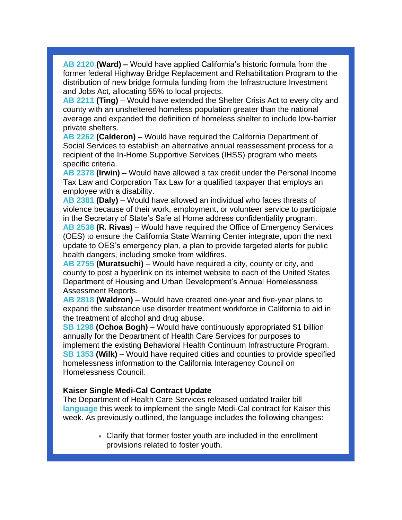**[AB 2120](https://r20.rs6.net/tn.jsp?f=001e4rAQk4eQ4F9Af-Olhs8WxZbydV3DNI7-_kUdNZkBqXXJIrkpiREDu8Ht2EL3Tiho4XKJXk8BsEIsbRXB1_BpkynOl2kaGoCj8jwKUvXE1NfytSpvlJyfe_zUBMbb9wBwAEyd7Utv1-7ZUes-u4IXRlLeq78g5q8OyLC4krd1xyipvAnfw5BzG3jVzKhpJmxTuoIz0n91_JuhvN60He4oetppv6QYVE8aP1-jXREmLY=&c=p7S0SYNVb-LtM5l0fl77PpcEAVz-T4cayI_qCaPf0c7XAAPgHcoiBQ==&ch=XYXVXzQhRucXA9OhFiXWn2jyWjNOLlu3-zLo7ktL87v4Om1BtfkgrQ==) (Ward) –** Would have applied California's historic formula from the former federal Highway Bridge Replacement and Rehabilitation Program to the distribution of new bridge formula funding from the Infrastructure Investment and Jobs Act, allocating 55% to local projects.

**[AB 2211](https://r20.rs6.net/tn.jsp?f=001e4rAQk4eQ4F9Af-Olhs8WxZbydV3DNI7-_kUdNZkBqXXJIrkpiREDu8Ht2EL3TihXfyT7KtK7kGDD4S4swafWD6TvRo54AkFWPeeUNT7IFmD3he2kt057eHR32Oyk0al-5qN5mq2jtoP6M08Cvva9ADtXGFEtIPHoyCz6cMsUnxOWfgCOHjxomeusA8WEqslkTDE3vRAAApHaeKhcHmg2sPq02ZyIwtn4k0H7BsVuqk=&c=p7S0SYNVb-LtM5l0fl77PpcEAVz-T4cayI_qCaPf0c7XAAPgHcoiBQ==&ch=XYXVXzQhRucXA9OhFiXWn2jyWjNOLlu3-zLo7ktL87v4Om1BtfkgrQ==) (Ting)** – Would have extended the Shelter Crisis Act to every city and county with an unsheltered homeless population greater than the national average and expanded the definition of homeless shelter to include low-barrier private shelters.

**[AB 2262](https://r20.rs6.net/tn.jsp?f=001e4rAQk4eQ4F9Af-Olhs8WxZbydV3DNI7-_kUdNZkBqXXJIrkpiREDu8Ht2EL3TihEZH2zB6D7aq98GdkKKzbElbsFm3asxcab9Z5_ml2IswH42REajlIW6FlDwQ2QtWR2bdkyk0GmnAOgRCjlstODAVA6l3T8Dj1VT5FqyI3q3Brp0_HwGYzpaYSw1IqSzi-kQ7MU-tr9raAcWnQl9rFzdd8pL1PvOUI4tY2YMfn7WE=&c=p7S0SYNVb-LtM5l0fl77PpcEAVz-T4cayI_qCaPf0c7XAAPgHcoiBQ==&ch=XYXVXzQhRucXA9OhFiXWn2jyWjNOLlu3-zLo7ktL87v4Om1BtfkgrQ==) (Calderon)** – Would have required the California Department of Social Services to establish an alternative annual reassessment process for a recipient of the In-Home Supportive Services (IHSS) program who meets specific criteria.

**[AB 2378](https://r20.rs6.net/tn.jsp?f=001e4rAQk4eQ4F9Af-Olhs8WxZbydV3DNI7-_kUdNZkBqXXJIrkpiREDu8Ht2EL3TihA2AjcR_vPnaicpSa_TACBG4CQwIKLZmrKt2BcXa8eUqWUmc-ANm3OIZKL_URM0u1ACv63SoHy_zikLAQ4EjmYlbSI9_Psa6dpQuCRiRk2WQMznV7w08AWeYkqHvdzlgzl9Xg9y-nlsLYHHOwNPIxEL0hH74EIbd1xzRL0Y69CBg=&c=p7S0SYNVb-LtM5l0fl77PpcEAVz-T4cayI_qCaPf0c7XAAPgHcoiBQ==&ch=XYXVXzQhRucXA9OhFiXWn2jyWjNOLlu3-zLo7ktL87v4Om1BtfkgrQ==) (Irwin)** – Would have allowed a tax credit under the Personal Income Tax Law and Corporation Tax Law for a qualified taxpayer that employs an employee with a disability.

**[AB 2381](https://r20.rs6.net/tn.jsp?f=001e4rAQk4eQ4F9Af-Olhs8WxZbydV3DNI7-_kUdNZkBqXXJIrkpiREDh0LaEF8yRTbIB-9C8zPd3LVg7QLuQ4_ZJrjacKWD9spDIyhE_HEpdoTbGOkAHuXibV0zM_yTHEmVaELbdJE5G7Af1uAiwaJxg67p2HWmnwsSIvvz4A8nILrJ0gr3rRW0vcGz7gqlxfijA8WgLob3T09pCtd8NkkLVULMku5ecHoSMVmLItkCRE=&c=p7S0SYNVb-LtM5l0fl77PpcEAVz-T4cayI_qCaPf0c7XAAPgHcoiBQ==&ch=XYXVXzQhRucXA9OhFiXWn2jyWjNOLlu3-zLo7ktL87v4Om1BtfkgrQ==) (Daly)** – Would have allowed an individual who faces threats of violence because of their work, employment, or volunteer service to participate in the Secretary of State's Safe at Home address confidentiality program.

**[AB 2538](https://r20.rs6.net/tn.jsp?f=001e4rAQk4eQ4F9Af-Olhs8WxZbydV3DNI7-_kUdNZkBqXXJIrkpiREDu8Ht2EL3TihWaN7aD4BtnrKZ97Scdzr4GHE91EnE2eYvZCiLXc-V8Vg8yEQQamwoczq7dTmaH9iF-NrzjX7PiwsNBqiZFNVpIC-JSHNlhebBe1vRyNS03_uw5MQ839lnhzGQ-HsOYXuEhYtKNBKL3iFzdXveZEZ5c3aWlRXlWEuBqBdeiCEQWw=&c=p7S0SYNVb-LtM5l0fl77PpcEAVz-T4cayI_qCaPf0c7XAAPgHcoiBQ==&ch=XYXVXzQhRucXA9OhFiXWn2jyWjNOLlu3-zLo7ktL87v4Om1BtfkgrQ==) (R. Rivas)** – Would have required the Office of Emergency Services (OES) to ensure the California State Warning Center integrate, upon the next update to OES's emergency plan, a plan to provide targeted alerts for public health dangers, including smoke from wildfires.

**[AB 2755](https://r20.rs6.net/tn.jsp?f=001e4rAQk4eQ4F9Af-Olhs8WxZbydV3DNI7-_kUdNZkBqXXJIrkpiREDv7f-lTtGr3F3V_mppxTRrjZ0CUcxTSZgIYm-fkUOrLl1B7FbdHpfETtrbSpl1ehOACIN3V1BgFkgndrlCRRClPsEKsL-xE6hpWbucTrF7dLm91YFPHc7KgeJbbBxCvwG3h5Y0KDlonOKD2xCvyl0_O_i3s7VETxqZGoz7xKn3pslH0T8a4Ibbk=&c=p7S0SYNVb-LtM5l0fl77PpcEAVz-T4cayI_qCaPf0c7XAAPgHcoiBQ==&ch=XYXVXzQhRucXA9OhFiXWn2jyWjNOLlu3-zLo7ktL87v4Om1BtfkgrQ==) (Muratsuchi)** – Would have required a city, county or city, and county to post a hyperlink on its internet website to each of the United States Department of Housing and Urban Development's Annual Homelessness Assessment Reports.

**[AB 2818](https://r20.rs6.net/tn.jsp?f=001e4rAQk4eQ4F9Af-Olhs8WxZbydV3DNI7-_kUdNZkBqXXJIrkpiREDu8Ht2EL3TihnkfeMvCgml7Vv7pvKptMKdYiVJucmyCu7C8FxjetJtihmx9aEt16hkWvjmZ6-2OOBoSEesv64heOEiK4hhoYgGAzV-r6BYE95L9hDbp_enAv9bUqq8RE6JoInAEYnWKJ4EqcyBRIKPnHBnl-30q4KGGL2bP6Vfw6qtG5x7BOND0=&c=p7S0SYNVb-LtM5l0fl77PpcEAVz-T4cayI_qCaPf0c7XAAPgHcoiBQ==&ch=XYXVXzQhRucXA9OhFiXWn2jyWjNOLlu3-zLo7ktL87v4Om1BtfkgrQ==) (Waldron)** – Would have created one-year and five-year plans to expand the substance use disorder treatment workforce in California to aid in the treatment of alcohol and drug abuse.

**[SB 1298](https://r20.rs6.net/tn.jsp?f=001e4rAQk4eQ4F9Af-Olhs8WxZbydV3DNI7-_kUdNZkBqXXJIrkpiREDu8Ht2EL3TihJ8gyXDn4BEZPDwOsylxWiaNnobrvpHQdO2oZEQddx7EhOE3IOe1J6S-CHBGLs1vC6BnjBJA77O8SdkYpDWEptg2aEG5kEJt27xyQXLZh6wRbXhgqXiYOSHkfAXNgVPUwBxZf0LBbw1C5jyCqdeCboQ71R62AWniJsgd79LPG350=&c=p7S0SYNVb-LtM5l0fl77PpcEAVz-T4cayI_qCaPf0c7XAAPgHcoiBQ==&ch=XYXVXzQhRucXA9OhFiXWn2jyWjNOLlu3-zLo7ktL87v4Om1BtfkgrQ==) (Ochoa Bogh)** – Would have continuously appropriated \$1 billion annually for the Department of Health Care Services for purposes to implement the existing Behavioral Health Continuum Infrastructure Program. **[SB 1353](https://r20.rs6.net/tn.jsp?f=001e4rAQk4eQ4F9Af-Olhs8WxZbydV3DNI7-_kUdNZkBqXXJIrkpiREDu8Ht2EL3TihYYsnTvQCDA2_4320l24Q6X1IrQbdKrAlGt3DL3mJgsVCMEsndUcKby6SU-79Kj5SLu-l7g2YVAnPYWWGDMg9aLeFVsu7_VhAALZ0v4OyR0g7ituDlXd1YQSszhnNgJwy5GuFmEt97B_1bIbl0XgirisCAFKLvMfnOCQI4YZWRDU=&c=p7S0SYNVb-LtM5l0fl77PpcEAVz-T4cayI_qCaPf0c7XAAPgHcoiBQ==&ch=XYXVXzQhRucXA9OhFiXWn2jyWjNOLlu3-zLo7ktL87v4Om1BtfkgrQ==) (Wilk)** – Would have required cities and counties to provide specified homelessness information to the California Interagency Council on Homelessness Council.

#### **Kaiser Single Medi-Cal Contract Update**

The Department of Health Care Services released updated trailer bill **[language](https://r20.rs6.net/tn.jsp?f=001e4rAQk4eQ4F9Af-Olhs8WxZbydV3DNI7-_kUdNZkBqXXJIrkpiREDu8Ht2EL3TiheROicYKKrxWegV-l0wolV_VbJ-1U2SpE3TH3mvzWrkl7aS8Prct8K7z9pIOLKOOseBA6sbEQO6n0kjcuMcdixtkwcgK1VwPE_U0qGGT-MIjoRgeCRSMEwgTXWl3knA6Ch2KM_zcyosE=&c=p7S0SYNVb-LtM5l0fl77PpcEAVz-T4cayI_qCaPf0c7XAAPgHcoiBQ==&ch=XYXVXzQhRucXA9OhFiXWn2jyWjNOLlu3-zLo7ktL87v4Om1BtfkgrQ==)** this week to implement the single Medi-Cal contract for Kaiser this week. As previously outlined, the language includes the following changes:

> • Clarify that former foster youth are included in the enrollment provisions related to foster youth.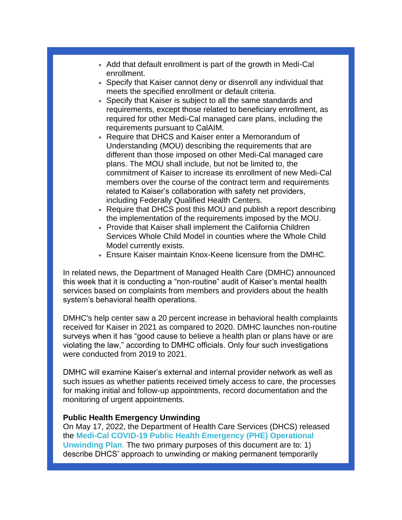- Add that default enrollment is part of the growth in Medi-Cal enrollment.
- Specify that Kaiser cannot deny or disenroll any individual that meets the specified enrollment or default criteria.
- Specify that Kaiser is subject to all the same standards and requirements, except those related to beneficiary enrollment, as required for other Medi-Cal managed care plans, including the requirements pursuant to CalAIM.
- Require that DHCS and Kaiser enter a Memorandum of Understanding (MOU) describing the requirements that are different than those imposed on other Medi-Cal managed care plans. The MOU shall include, but not be limited to, the commitment of Kaiser to increase its enrollment of new Medi-Cal members over the course of the contract term and requirements related to Kaiser's collaboration with safety net providers, including Federally Qualified Health Centers.
- Require that DHCS post this MOU and publish a report describing the implementation of the requirements imposed by the MOU.
- Provide that Kaiser shall implement the California Children Services Whole Child Model in counties where the Whole Child Model currently exists.
- Ensure Kaiser maintain Knox-Keene licensure from the DMHC.

In related news, the Department of Managed Health Care (DMHC) announced this week that it is conducting a "non-routine" audit of Kaiser's mental health services based on complaints from members and providers about the health system's behavioral health operations.

DMHC's help center saw a 20 percent increase in behavioral health complaints received for Kaiser in 2021 as compared to 2020. DMHC launches non-routine surveys when it has "good cause to believe a health plan or plans have or are violating the law," according to DMHC officials. Only four such investigations were conducted from 2019 to 2021.

DMHC will examine Kaiser's external and internal provider network as well as such issues as whether patients received timely access to care, the processes for making initial and follow-up appointments, record documentation and the monitoring of urgent appointments.

#### **Public Health Emergency Unwinding**

On May 17, 2022, the Department of Health Care Services (DHCS) released the **[Medi-Cal COVID-19 Public Health Emergency \(PHE\) Operational](https://r20.rs6.net/tn.jsp?f=001e4rAQk4eQ4F9Af-Olhs8WxZbydV3DNI7-_kUdNZkBqXXJIrkpiREDu8Ht2EL3TihayTJJ1AyNn-XBMnL9e_7njzbYPwms3NI308YsB_5HxOp5B4R43bKnodwbENg_TTszidlb2Eu2WNT-__ABlqVJNUF6boHa5nKjOtvCTq4b6T6UamLrJv1jSPLiId3Y6BY7Pc1wFoR1zaX8dURoK_hb3lOgkSnXwsivj1tS8fFlfTK2BN2ewpt5DM6yhB-2UqBvXMUsYJnsB84Em7-XfNG3m058UP1J-axw0F_GoZ3xuWEQKnANxg3dJoxHTaFhdB9Gx6Kx8QUjETi6u6yAIL2nw-GsB5zJNxbTrG4H6hKK7z2fpXHn3pg4ckyzGu3XU4MduDXIIY1co6ZcseECxxspo-AXm8wb_cs8owd4RMvGSKl3GQ5qQF-3HLVCT1TKvDihjmG2ueXU67bmrnVA9c1_G4qv0pBpM65zemjJyC209rn4RWWiQRdnNWQltkSSulXrfrHt3lcZv0gQwFTVPHIOfrh-MiCouSscssaTYwUqd3fIE4IeW_UuavdX87mJ6VGGB_RQYXxo_4WIVfqvSx2k1eIIm3_WZobVKfi-wStbnyaNjiVa9eCLiLy-rSQ7Mh81gIv0KIVvd7UShB9Ttwmm_5z1_Bp5oGkfcJn5sG_o_k2H73D0i6cIArYp_iT4bYeV_Ua8MxY5NiiaTO5FeZxoFLAtVKyjzmU02COwl0qF7Y4gk22MxF22Tq0Cjm8KAWB5K5WCodL6qOHSypZibkDx3gr2dmVju9y8WJ2NxwwN48=&c=p7S0SYNVb-LtM5l0fl77PpcEAVz-T4cayI_qCaPf0c7XAAPgHcoiBQ==&ch=XYXVXzQhRucXA9OhFiXWn2jyWjNOLlu3-zLo7ktL87v4Om1BtfkgrQ==)  [Unwinding Plan](https://r20.rs6.net/tn.jsp?f=001e4rAQk4eQ4F9Af-Olhs8WxZbydV3DNI7-_kUdNZkBqXXJIrkpiREDu8Ht2EL3TihayTJJ1AyNn-XBMnL9e_7njzbYPwms3NI308YsB_5HxOp5B4R43bKnodwbENg_TTszidlb2Eu2WNT-__ABlqVJNUF6boHa5nKjOtvCTq4b6T6UamLrJv1jSPLiId3Y6BY7Pc1wFoR1zaX8dURoK_hb3lOgkSnXwsivj1tS8fFlfTK2BN2ewpt5DM6yhB-2UqBvXMUsYJnsB84Em7-XfNG3m058UP1J-axw0F_GoZ3xuWEQKnANxg3dJoxHTaFhdB9Gx6Kx8QUjETi6u6yAIL2nw-GsB5zJNxbTrG4H6hKK7z2fpXHn3pg4ckyzGu3XU4MduDXIIY1co6ZcseECxxspo-AXm8wb_cs8owd4RMvGSKl3GQ5qQF-3HLVCT1TKvDihjmG2ueXU67bmrnVA9c1_G4qv0pBpM65zemjJyC209rn4RWWiQRdnNWQltkSSulXrfrHt3lcZv0gQwFTVPHIOfrh-MiCouSscssaTYwUqd3fIE4IeW_UuavdX87mJ6VGGB_RQYXxo_4WIVfqvSx2k1eIIm3_WZobVKfi-wStbnyaNjiVa9eCLiLy-rSQ7Mh81gIv0KIVvd7UShB9Ttwmm_5z1_Bp5oGkfcJn5sG_o_k2H73D0i6cIArYp_iT4bYeV_Ua8MxY5NiiaTO5FeZxoFLAtVKyjzmU02COwl0qF7Y4gk22MxF22Tq0Cjm8KAWB5K5WCodL6qOHSypZibkDx3gr2dmVju9y8WJ2NxwwN48=&c=p7S0SYNVb-LtM5l0fl77PpcEAVz-T4cayI_qCaPf0c7XAAPgHcoiBQ==&ch=XYXVXzQhRucXA9OhFiXWn2jyWjNOLlu3-zLo7ktL87v4Om1BtfkgrQ==)**. The two primary purposes of this document are to: 1) describe DHCS' approach to unwinding or making permanent temporarily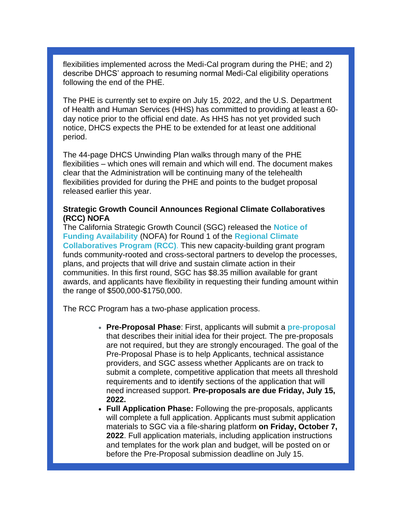flexibilities implemented across the Medi-Cal program during the PHE; and 2) describe DHCS' approach to resuming normal Medi-Cal eligibility operations following the end of the PHE.

The PHE is currently set to expire on July 15, 2022, and the U.S. Department of Health and Human Services (HHS) has committed to providing at least a 60 day notice prior to the official end date. As HHS has not yet provided such notice, DHCS expects the PHE to be extended for at least one additional period.

The 44-page DHCS Unwinding Plan walks through many of the PHE flexibilities – which ones will remain and which will end. The document makes clear that the Administration will be continuing many of the telehealth flexibilities provided for during the PHE and points to the budget proposal released earlier this year.

## **Strategic Growth Council Announces Regional Climate Collaboratives (RCC) NOFA**

The California Strategic Growth Council (SGC) released the **[Notice of](https://r20.rs6.net/tn.jsp?f=001e4rAQk4eQ4F9Af-Olhs8WxZbydV3DNI7-_kUdNZkBqXXJIrkpiREDu8Ht2EL3TihB3m5vwnOVO2zuzuOcScLzjZrH88cc9yQYMAszSmrhkdCOI5BrNmWgUjlKzqELh_kBR2x5AmPVK7pwmamuF-SDvlY2HEH9F2etYpFn52g6Nr2trw3stLDrh0a7pHGU2hGDTHB7UWQVCOWAKwFcZg2pg==&c=p7S0SYNVb-LtM5l0fl77PpcEAVz-T4cayI_qCaPf0c7XAAPgHcoiBQ==&ch=XYXVXzQhRucXA9OhFiXWn2jyWjNOLlu3-zLo7ktL87v4Om1BtfkgrQ==)  [Funding Availability](https://r20.rs6.net/tn.jsp?f=001e4rAQk4eQ4F9Af-Olhs8WxZbydV3DNI7-_kUdNZkBqXXJIrkpiREDu8Ht2EL3TihB3m5vwnOVO2zuzuOcScLzjZrH88cc9yQYMAszSmrhkdCOI5BrNmWgUjlKzqELh_kBR2x5AmPVK7pwmamuF-SDvlY2HEH9F2etYpFn52g6Nr2trw3stLDrh0a7pHGU2hGDTHB7UWQVCOWAKwFcZg2pg==&c=p7S0SYNVb-LtM5l0fl77PpcEAVz-T4cayI_qCaPf0c7XAAPgHcoiBQ==&ch=XYXVXzQhRucXA9OhFiXWn2jyWjNOLlu3-zLo7ktL87v4Om1BtfkgrQ==)** (NOFA) for Round 1 of the **[Regional Climate](https://r20.rs6.net/tn.jsp?f=001e4rAQk4eQ4F9Af-Olhs8WxZbydV3DNI7-_kUdNZkBqXXJIrkpiREDu8Ht2EL3TihD0xsyeXjvws4SoZmQnYoqdWri5WGfQTpK1IjmNDJaIIPEPXhv9ZA3XDaYjoiU6prb-f8k8YoHCGdgrDQVleOymEWppei-fZ-a2gWd-ICQ4ULT0FkbrnCT9cbaMvItr0CNFzDVB-8Wnes7rGfl6vajCMcz7laYXl-gUGtNBpypCr2v_BXLxqkARw4_ZCd_iDWhQfHPB3k4W_DEaOBqXlYQwKqR0auuJONNzr1gFpPU1wizepy8gM7p8U9vwLgsSzq7qqu4np9h1DDASINhK5HbhrLDEgD-nj8cakWv8tuNIUXodnddtnXFHZFjC22WzjK2MESqD30wYrsYCJP4QOWWdZT71ca3qsfaAp6jc00qQaztCQC_VPO2Fhsnq8YbHIkR2Eqycqh7nOVm1wGcaX-8fPoC6GbCuhKELz-bVffga3wlkhiMM3UKPC1IIH_RULHHFd4J7grb5rGKFJQxZiViQbeeV00AcxMumqEogAyr-Sd_KjwPNM2RrEMIxGU0XvZJHw4haHPwODJ52qMaTRvz-dX4TKZBD5E2MAQxDJKcHez0GivFDI_w6HEC111N56jgo-8_PKZzdfI5hDDfTsfbsuK-10AmCbs6pZ-7_0RI5eH-p-ppyvykF88es0z4bVEOHGVJg7Nchvrvt97eLP3JROeuTbtbOqqc9i700ekuM_U63ByKBvJHYy0Ekd1INQ1HdMvzkuOQgk4Pcj2rSB8hHoP_W4NdSkKcoi7z4qTF_E7_Bs5pMFnEsZvz3IVlEkgLJZ88pBgMOYmDdOB9maQDEL04G4LKV1dBe7DRHRoDZM5FjoSlAU45kDmAAFOus_j91XsMcTUaw2WMzhSQbTwASRI4fo3sct3CqzP2kNIiw8Frm-78QGvs53P2N8gz-sg8Ph868UY7SEfL2CHpDnWHKfCH1e_zzBNxrkujZ-v5h4zLnBaIejtCjhDSMw732YGm3yqzildsWNSqgPwWzFpE3WSpEcwYMiPLBagO4Ih3MfioCnlCVWqY7GAN46jEawEtR6vueyaKuGAYzPeGVJC2iMsoV_SL7di9Ydguk6TTlMHwmZMi7qcezo9j6p4C7LrUvnTS24-EtzbiWxxpngF07K_St_gJJRQVWftuU-zQz8N-0c0c_zrM4lZfaPbu_kCrQdmOoQS9HO7NGEBGOPht88WqGJ6cp7b&c=p7S0SYNVb-LtM5l0fl77PpcEAVz-T4cayI_qCaPf0c7XAAPgHcoiBQ==&ch=XYXVXzQhRucXA9OhFiXWn2jyWjNOLlu3-zLo7ktL87v4Om1BtfkgrQ==)  [Collaboratives Program \(RCC\)](https://r20.rs6.net/tn.jsp?f=001e4rAQk4eQ4F9Af-Olhs8WxZbydV3DNI7-_kUdNZkBqXXJIrkpiREDu8Ht2EL3TihD0xsyeXjvws4SoZmQnYoqdWri5WGfQTpK1IjmNDJaIIPEPXhv9ZA3XDaYjoiU6prb-f8k8YoHCGdgrDQVleOymEWppei-fZ-a2gWd-ICQ4ULT0FkbrnCT9cbaMvItr0CNFzDVB-8Wnes7rGfl6vajCMcz7laYXl-gUGtNBpypCr2v_BXLxqkARw4_ZCd_iDWhQfHPB3k4W_DEaOBqXlYQwKqR0auuJONNzr1gFpPU1wizepy8gM7p8U9vwLgsSzq7qqu4np9h1DDASINhK5HbhrLDEgD-nj8cakWv8tuNIUXodnddtnXFHZFjC22WzjK2MESqD30wYrsYCJP4QOWWdZT71ca3qsfaAp6jc00qQaztCQC_VPO2Fhsnq8YbHIkR2Eqycqh7nOVm1wGcaX-8fPoC6GbCuhKELz-bVffga3wlkhiMM3UKPC1IIH_RULHHFd4J7grb5rGKFJQxZiViQbeeV00AcxMumqEogAyr-Sd_KjwPNM2RrEMIxGU0XvZJHw4haHPwODJ52qMaTRvz-dX4TKZBD5E2MAQxDJKcHez0GivFDI_w6HEC111N56jgo-8_PKZzdfI5hDDfTsfbsuK-10AmCbs6pZ-7_0RI5eH-p-ppyvykF88es0z4bVEOHGVJg7Nchvrvt97eLP3JROeuTbtbOqqc9i700ekuM_U63ByKBvJHYy0Ekd1INQ1HdMvzkuOQgk4Pcj2rSB8hHoP_W4NdSkKcoi7z4qTF_E7_Bs5pMFnEsZvz3IVlEkgLJZ88pBgMOYmDdOB9maQDEL04G4LKV1dBe7DRHRoDZM5FjoSlAU45kDmAAFOus_j91XsMcTUaw2WMzhSQbTwASRI4fo3sct3CqzP2kNIiw8Frm-78QGvs53P2N8gz-sg8Ph868UY7SEfL2CHpDnWHKfCH1e_zzBNxrkujZ-v5h4zLnBaIejtCjhDSMw732YGm3yqzildsWNSqgPwWzFpE3WSpEcwYMiPLBagO4Ih3MfioCnlCVWqY7GAN46jEawEtR6vueyaKuGAYzPeGVJC2iMsoV_SL7di9Ydguk6TTlMHwmZMi7qcezo9j6p4C7LrUvnTS24-EtzbiWxxpngF07K_St_gJJRQVWftuU-zQz8N-0c0c_zrM4lZfaPbu_kCrQdmOoQS9HO7NGEBGOPht88WqGJ6cp7b&c=p7S0SYNVb-LtM5l0fl77PpcEAVz-T4cayI_qCaPf0c7XAAPgHcoiBQ==&ch=XYXVXzQhRucXA9OhFiXWn2jyWjNOLlu3-zLo7ktL87v4Om1BtfkgrQ==)**. This new capacity-building grant program funds community-rooted and cross-sectoral partners to develop the processes, plans, and projects that will drive and sustain climate action in their communities. In this first round, SGC has \$8.35 million available for grant awards, and applicants have flexibility in requesting their funding amount within the range of \$500,000-\$1750,000.

The RCC Program has a two-phase application process.

- **Pre-Proposal Phase**: First, applicants will submit a **[pre-proposal](https://r20.rs6.net/tn.jsp?f=001e4rAQk4eQ4F9Af-Olhs8WxZbydV3DNI7-_kUdNZkBqXXJIrkpiREDu8Ht2EL3Tih-l8XYwhMku2zhN6cyoxVB54MQyvBHP1QeGlBfDp7y8jzBk0SYJI666Io9XyJRH1JFIc_iumQ9LSn1q2BiQO6ChuoPgbTIL-MFa-yqc9AFWbrq5VdtZbQ-zq953uXZX9NGbkCzldTj_2E5Ozly8O7_v_Ap_-by5tc3qkZQPilJVMNftaQhO8VY1N4TLiKEgRXsZsUo7VRbE0Zx8D0mFjCP6zM_eVTRLbbZThuZC3sXITABGROcR1RasL04Qria_PV32Ju5PC9EQtqd1oYXrw77YH1zQVSQoSgHgUaYeLF81I=&c=p7S0SYNVb-LtM5l0fl77PpcEAVz-T4cayI_qCaPf0c7XAAPgHcoiBQ==&ch=XYXVXzQhRucXA9OhFiXWn2jyWjNOLlu3-zLo7ktL87v4Om1BtfkgrQ==)** that describes their initial idea for their project. The pre-proposals are not required, but they are strongly encouraged. The goal of the Pre-Proposal Phase is to help Applicants, technical assistance providers, and SGC assess whether Applicants are on track to submit a complete, competitive application that meets all threshold requirements and to identify sections of the application that will need increased support. **Pre-proposals are due Friday, July 15, 2022.**
- **Full Application Phase:** Following the pre-proposals, applicants will complete a full application. Applicants must submit application materials to SGC via a file-sharing platform **on Friday, October 7, 2022**. Full application materials, including application instructions and templates for the work plan and budget, will be posted on or before the Pre-Proposal submission deadline on July 15.